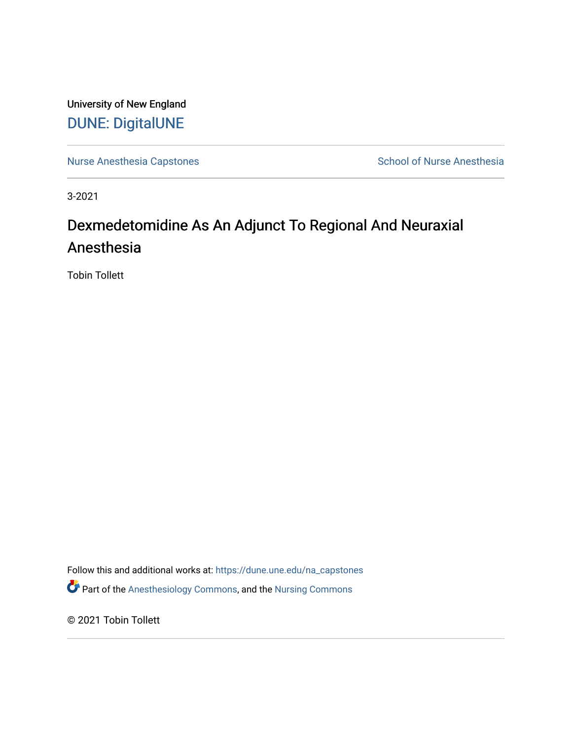University of New England [DUNE: DigitalUNE](https://dune.une.edu/) 

[Nurse Anesthesia Capstones](https://dune.une.edu/na_capstones) School of Nurse Anesthesia

3-2021

# Dexmedetomidine As An Adjunct To Regional And Neuraxial Anesthesia

Tobin Tollett

Follow this and additional works at: [https://dune.une.edu/na\\_capstones](https://dune.une.edu/na_capstones?utm_source=dune.une.edu%2Fna_capstones%2F41&utm_medium=PDF&utm_campaign=PDFCoverPages) Part of the [Anesthesiology Commons](http://network.bepress.com/hgg/discipline/682?utm_source=dune.une.edu%2Fna_capstones%2F41&utm_medium=PDF&utm_campaign=PDFCoverPages), and the [Nursing Commons](http://network.bepress.com/hgg/discipline/718?utm_source=dune.une.edu%2Fna_capstones%2F41&utm_medium=PDF&utm_campaign=PDFCoverPages) 

© 2021 Tobin Tollett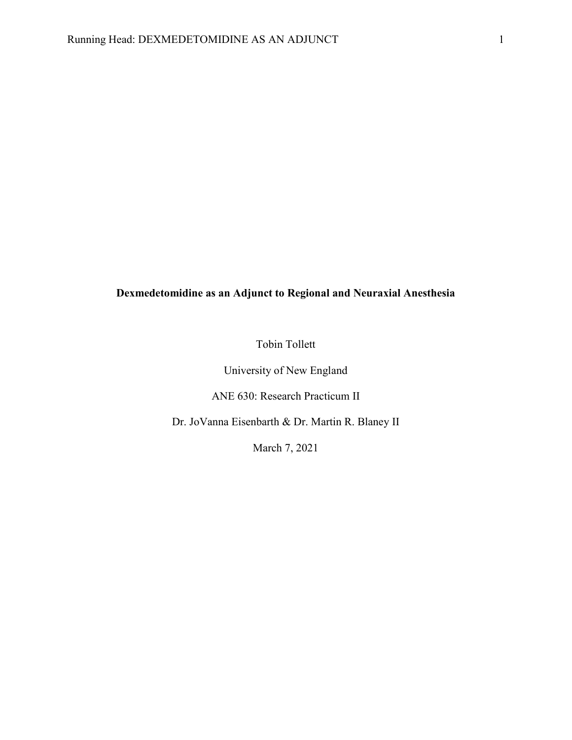# **Dexmedetomidine as an Adjunct to Regional and Neuraxial Anesthesia**

Tobin Tollett

University of New England

ANE 630: Research Practicum II

Dr. JoVanna Eisenbarth & Dr. Martin R. Blaney II

March 7, 2021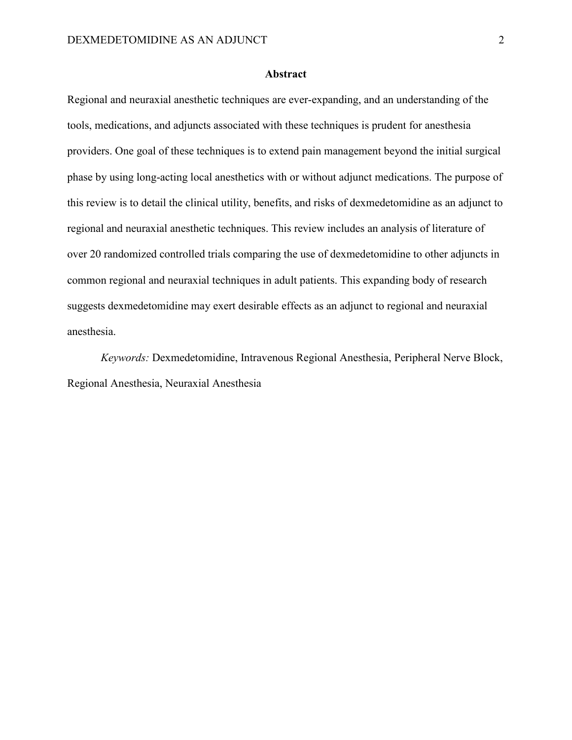#### **Abstract**

Regional and neuraxial anesthetic techniques are ever-expanding, and an understanding of the tools, medications, and adjuncts associated with these techniques is prudent for anesthesia providers. One goal of these techniques is to extend pain management beyond the initial surgical phase by using long-acting local anesthetics with or without adjunct medications. The purpose of this review is to detail the clinical utility, benefits, and risks of dexmedetomidine as an adjunct to regional and neuraxial anesthetic techniques. This review includes an analysis of literature of over 20 randomized controlled trials comparing the use of dexmedetomidine to other adjuncts in common regional and neuraxial techniques in adult patients. This expanding body of research suggests dexmedetomidine may exert desirable effects as an adjunct to regional and neuraxial anesthesia.

*Keywords:* Dexmedetomidine, Intravenous Regional Anesthesia, Peripheral Nerve Block, Regional Anesthesia, Neuraxial Anesthesia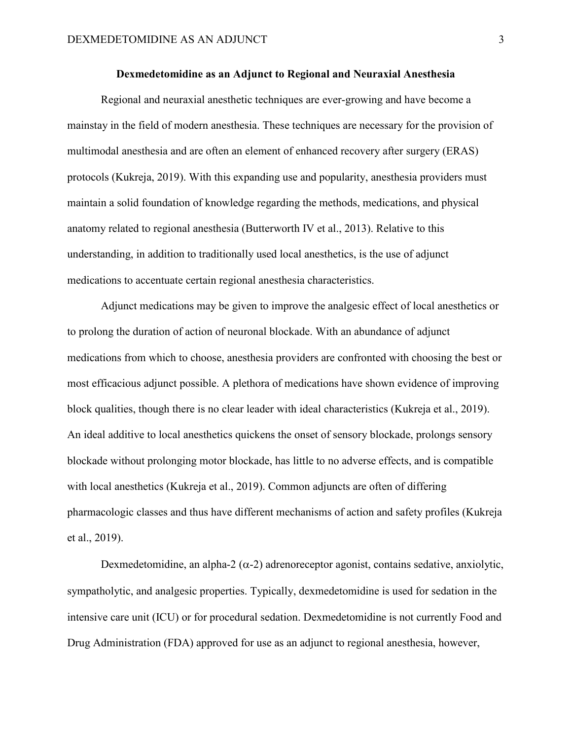# **Dexmedetomidine as an Adjunct to Regional and Neuraxial Anesthesia**

Regional and neuraxial anesthetic techniques are ever-growing and have become a mainstay in the field of modern anesthesia. These techniques are necessary for the provision of multimodal anesthesia and are often an element of enhanced recovery after surgery (ERAS) protocols (Kukreja, 2019). With this expanding use and popularity, anesthesia providers must maintain a solid foundation of knowledge regarding the methods, medications, and physical anatomy related to regional anesthesia (Butterworth IV et al., 2013). Relative to this understanding, in addition to traditionally used local anesthetics, is the use of adjunct medications to accentuate certain regional anesthesia characteristics.

Adjunct medications may be given to improve the analgesic effect of local anesthetics or to prolong the duration of action of neuronal blockade. With an abundance of adjunct medications from which to choose, anesthesia providers are confronted with choosing the best or most efficacious adjunct possible. A plethora of medications have shown evidence of improving block qualities, though there is no clear leader with ideal characteristics (Kukreja et al., 2019). An ideal additive to local anesthetics quickens the onset of sensory blockade, prolongs sensory blockade without prolonging motor blockade, has little to no adverse effects, and is compatible with local anesthetics (Kukreja et al., 2019). Common adjuncts are often of differing pharmacologic classes and thus have different mechanisms of action and safety profiles (Kukreja et al., 2019).

Dexmedetomidine, an alpha-2  $(\alpha$ -2) adrenoreceptor agonist, contains sedative, anxiolytic, sympatholytic, and analgesic properties. Typically, dexmedetomidine is used for sedation in the intensive care unit (ICU) or for procedural sedation. Dexmedetomidine is not currently Food and Drug Administration (FDA) approved for use as an adjunct to regional anesthesia, however,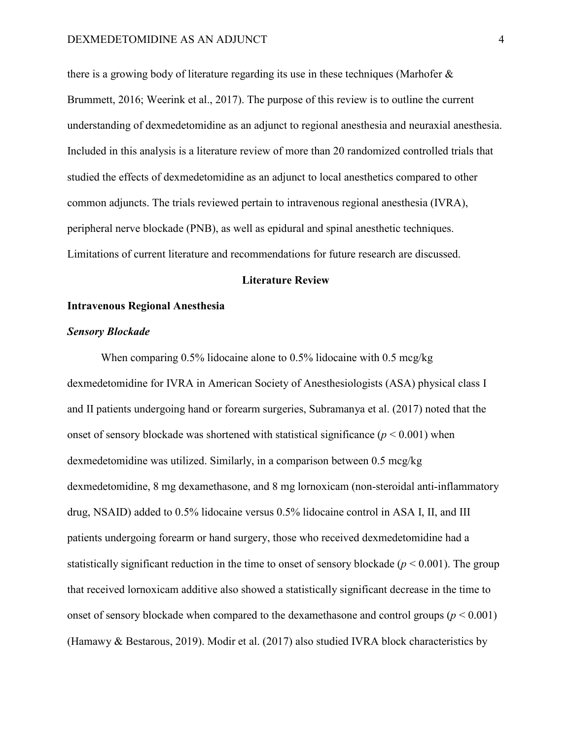there is a growing body of literature regarding its use in these techniques (Marhofer & Brummett, 2016; Weerink et al., 2017). The purpose of this review is to outline the current understanding of dexmedetomidine as an adjunct to regional anesthesia and neuraxial anesthesia. Included in this analysis is a literature review of more than 20 randomized controlled trials that studied the effects of dexmedetomidine as an adjunct to local anesthetics compared to other common adjuncts. The trials reviewed pertain to intravenous regional anesthesia (IVRA), peripheral nerve blockade (PNB), as well as epidural and spinal anesthetic techniques. Limitations of current literature and recommendations for future research are discussed.

# **Literature Review**

# **Intravenous Regional Anesthesia**

#### *Sensory Blockade*

When comparing 0.5% lidocaine alone to 0.5% lidocaine with 0.5 mcg/kg dexmedetomidine for IVRA in American Society of Anesthesiologists (ASA) physical class I and II patients undergoing hand or forearm surgeries, Subramanya et al. (2017) noted that the onset of sensory blockade was shortened with statistical significance  $(p < 0.001)$  when dexmedetomidine was utilized. Similarly, in a comparison between 0.5 mcg/kg dexmedetomidine, 8 mg dexamethasone, and 8 mg lornoxicam (non-steroidal anti-inflammatory drug, NSAID) added to 0.5% lidocaine versus 0.5% lidocaine control in ASA I, II, and III patients undergoing forearm or hand surgery, those who received dexmedetomidine had a statistically significant reduction in the time to onset of sensory blockade ( $p \le 0.001$ ). The group that received lornoxicam additive also showed a statistically significant decrease in the time to onset of sensory blockade when compared to the dexamethasone and control groups ( $p \le 0.001$ ) (Hamawy & Bestarous, 2019). Modir et al. (2017) also studied IVRA block characteristics by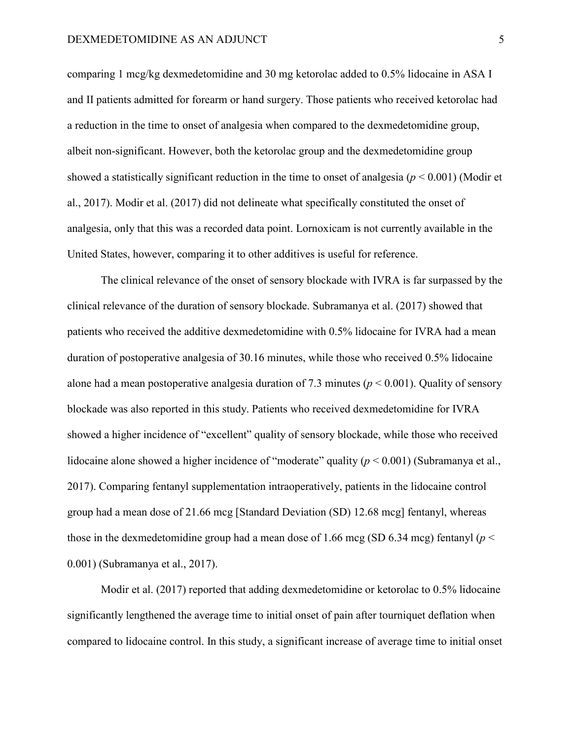comparing 1 mcg/kg dexmedetomidine and 30 mg ketorolac added to 0.5% lidocaine in ASA I and II patients admitted for forearm or hand surgery. Those patients who received ketorolac had a reduction in the time to onset of analgesia when compared to the dexmedetomidine group, albeit non-significant. However, both the ketorolac group and the dexmedetomidine group showed a statistically significant reduction in the time to onset of analgesia (*p* < 0.001) (Modir et al., 2017). Modir et al. (2017) did not delineate what specifically constituted the onset of analgesia, only that this was a recorded data point. Lornoxicam is not currently available in the United States, however, comparing it to other additives is useful for reference.

The clinical relevance of the onset of sensory blockade with IVRA is far surpassed by the clinical relevance of the duration of sensory blockade. Subramanya et al. (2017) showed that patients who received the additive dexmedetomidine with 0.5% lidocaine for IVRA had a mean duration of postoperative analgesia of 30.16 minutes, while those who received 0.5% lidocaine alone had a mean postoperative analgesia duration of 7.3 minutes (*p* < 0.001). Quality of sensory blockade was also reported in this study. Patients who received dexmedetomidine for IVRA showed a higher incidence of "excellent" quality of sensory blockade, while those who received lidocaine alone showed a higher incidence of "moderate" quality ( $p < 0.001$ ) (Subramanya et al., 2017). Comparing fentanyl supplementation intraoperatively, patients in the lidocaine control group had a mean dose of 21.66 mcg [Standard Deviation (SD) 12.68 mcg] fentanyl, whereas those in the dexmedetomidine group had a mean dose of 1.66 mcg (SD 6.34 mcg) fentanyl ( $p <$ 0.001) (Subramanya et al., 2017).

Modir et al. (2017) reported that adding dexmedetomidine or ketorolac to 0.5% lidocaine significantly lengthened the average time to initial onset of pain after tourniquet deflation when compared to lidocaine control. In this study, a significant increase of average time to initial onset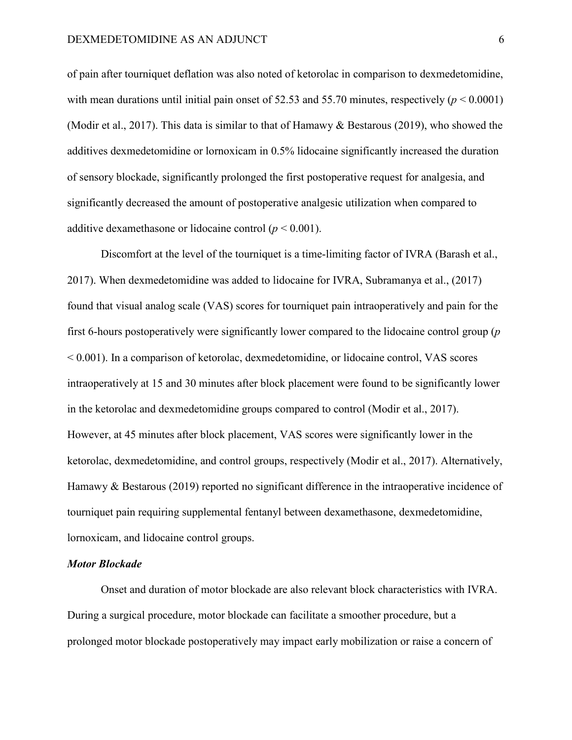of pain after tourniquet deflation was also noted of ketorolac in comparison to dexmedetomidine, with mean durations until initial pain onset of  $52.53$  and  $55.70$  minutes, respectively ( $p < 0.0001$ ) (Modir et al., 2017). This data is similar to that of Hamawy & Bestarous (2019), who showed the additives dexmedetomidine or lornoxicam in 0.5% lidocaine significantly increased the duration of sensory blockade, significantly prolonged the first postoperative request for analgesia, and significantly decreased the amount of postoperative analgesic utilization when compared to additive dexamethasone or lidocaine control  $(p < 0.001)$ .

Discomfort at the level of the tourniquet is a time-limiting factor of IVRA (Barash et al., 2017). When dexmedetomidine was added to lidocaine for IVRA, Subramanya et al., (2017) found that visual analog scale (VAS) scores for tourniquet pain intraoperatively and pain for the first 6-hours postoperatively were significantly lower compared to the lidocaine control group (*p* < 0.001). In a comparison of ketorolac, dexmedetomidine, or lidocaine control, VAS scores intraoperatively at 15 and 30 minutes after block placement were found to be significantly lower in the ketorolac and dexmedetomidine groups compared to control (Modir et al., 2017). However, at 45 minutes after block placement, VAS scores were significantly lower in the ketorolac, dexmedetomidine, and control groups, respectively (Modir et al., 2017). Alternatively, Hamawy & Bestarous (2019) reported no significant difference in the intraoperative incidence of tourniquet pain requiring supplemental fentanyl between dexamethasone, dexmedetomidine, lornoxicam, and lidocaine control groups.

#### *Motor Blockade*

Onset and duration of motor blockade are also relevant block characteristics with IVRA. During a surgical procedure, motor blockade can facilitate a smoother procedure, but a prolonged motor blockade postoperatively may impact early mobilization or raise a concern of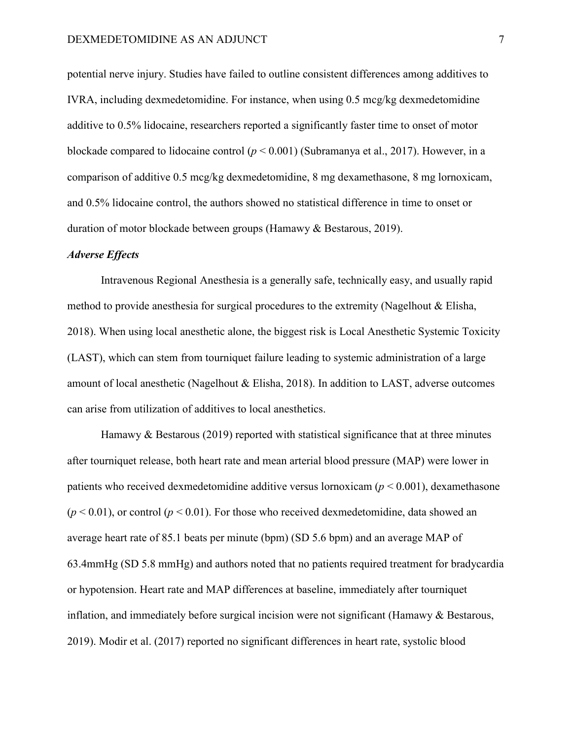potential nerve injury. Studies have failed to outline consistent differences among additives to IVRA, including dexmedetomidine. For instance, when using 0.5 mcg/kg dexmedetomidine additive to 0.5% lidocaine, researchers reported a significantly faster time to onset of motor blockade compared to lidocaine control (*p* < 0.001) (Subramanya et al., 2017). However, in a comparison of additive 0.5 mcg/kg dexmedetomidine, 8 mg dexamethasone, 8 mg lornoxicam, and 0.5% lidocaine control, the authors showed no statistical difference in time to onset or duration of motor blockade between groups (Hamawy & Bestarous, 2019).

# *Adverse Effects*

Intravenous Regional Anesthesia is a generally safe, technically easy, and usually rapid method to provide anesthesia for surgical procedures to the extremity (Nagelhout & Elisha, 2018). When using local anesthetic alone, the biggest risk is Local Anesthetic Systemic Toxicity (LAST), which can stem from tourniquet failure leading to systemic administration of a large amount of local anesthetic (Nagelhout & Elisha, 2018). In addition to LAST, adverse outcomes can arise from utilization of additives to local anesthetics.

Hamawy & Bestarous (2019) reported with statistical significance that at three minutes after tourniquet release, both heart rate and mean arterial blood pressure (MAP) were lower in patients who received dexmedetomidine additive versus lornoxicam (*p* < 0.001), dexamethasone  $(p < 0.01)$ , or control ( $p < 0.01$ ). For those who received dexmedetomidine, data showed an average heart rate of 85.1 beats per minute (bpm) (SD 5.6 bpm) and an average MAP of 63.4mmHg (SD 5.8 mmHg) and authors noted that no patients required treatment for bradycardia or hypotension. Heart rate and MAP differences at baseline, immediately after tourniquet inflation, and immediately before surgical incision were not significant (Hamawy & Bestarous, 2019). Modir et al. (2017) reported no significant differences in heart rate, systolic blood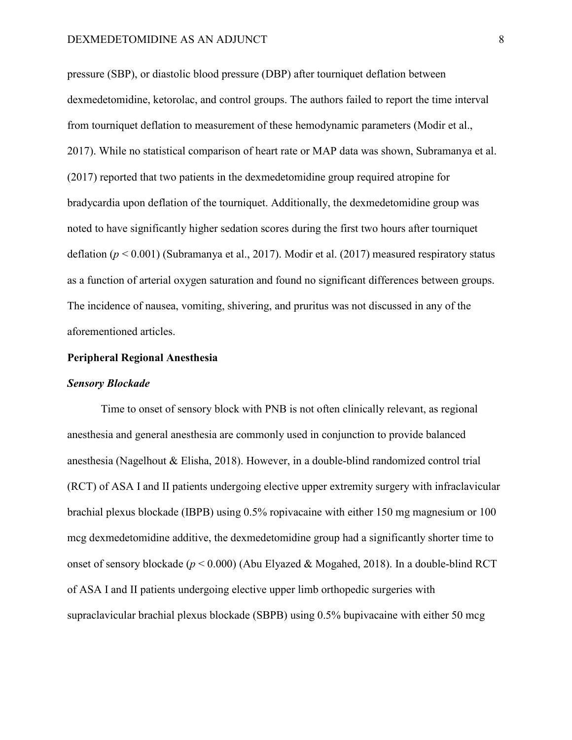pressure (SBP), or diastolic blood pressure (DBP) after tourniquet deflation between dexmedetomidine, ketorolac, and control groups. The authors failed to report the time interval from tourniquet deflation to measurement of these hemodynamic parameters (Modir et al., 2017). While no statistical comparison of heart rate or MAP data was shown, Subramanya et al. (2017) reported that two patients in the dexmedetomidine group required atropine for bradycardia upon deflation of the tourniquet. Additionally, the dexmedetomidine group was noted to have significantly higher sedation scores during the first two hours after tourniquet deflation (*p* < 0.001) (Subramanya et al., 2017). Modir et al. (2017) measured respiratory status as a function of arterial oxygen saturation and found no significant differences between groups. The incidence of nausea, vomiting, shivering, and pruritus was not discussed in any of the aforementioned articles.

# **Peripheral Regional Anesthesia**

#### *Sensory Blockade*

Time to onset of sensory block with PNB is not often clinically relevant, as regional anesthesia and general anesthesia are commonly used in conjunction to provide balanced anesthesia (Nagelhout & Elisha, 2018). However, in a double-blind randomized control trial (RCT) of ASA I and II patients undergoing elective upper extremity surgery with infraclavicular brachial plexus blockade (IBPB) using 0.5% ropivacaine with either 150 mg magnesium or 100 mcg dexmedetomidine additive, the dexmedetomidine group had a significantly shorter time to onset of sensory blockade (*p* < 0.000) (Abu Elyazed & Mogahed, 2018). In a double-blind RCT of ASA I and II patients undergoing elective upper limb orthopedic surgeries with supraclavicular brachial plexus blockade (SBPB) using 0.5% bupivacaine with either 50 mcg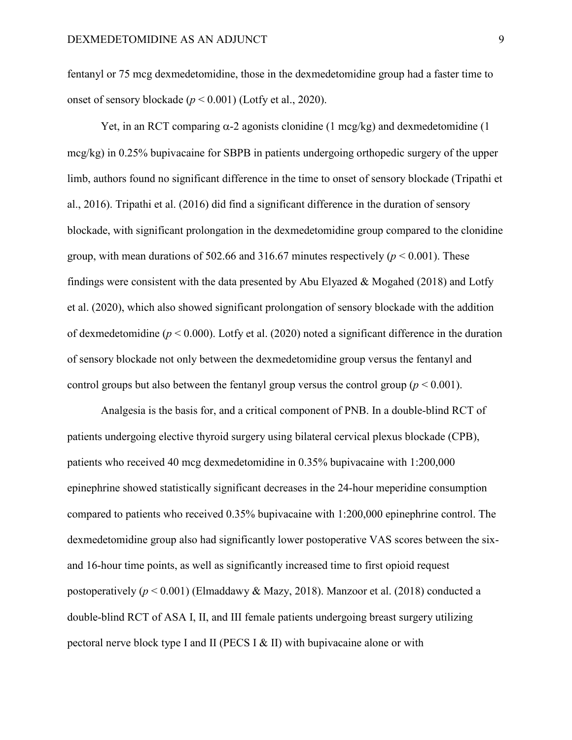fentanyl or 75 mcg dexmedetomidine, those in the dexmedetomidine group had a faster time to onset of sensory blockade (*p* < 0.001) (Lotfy et al., 2020).

Yet, in an RCT comparing  $\alpha$ -2 agonists clonidine (1 mcg/kg) and dexmedetomidine (1 mcg/kg) in 0.25% bupivacaine for SBPB in patients undergoing orthopedic surgery of the upper limb, authors found no significant difference in the time to onset of sensory blockade (Tripathi et al., 2016). Tripathi et al. (2016) did find a significant difference in the duration of sensory blockade, with significant prolongation in the dexmedetomidine group compared to the clonidine group, with mean durations of 502.66 and 316.67 minutes respectively  $(p < 0.001)$ . These findings were consistent with the data presented by Abu Elyazed & Mogahed (2018) and Lotfy et al. (2020), which also showed significant prolongation of sensory blockade with the addition of dexmedetomidine (*p* < 0.000). Lotfy et al. (2020) noted a significant difference in the duration of sensory blockade not only between the dexmedetomidine group versus the fentanyl and control groups but also between the fentanyl group versus the control group ( $p < 0.001$ ).

Analgesia is the basis for, and a critical component of PNB. In a double-blind RCT of patients undergoing elective thyroid surgery using bilateral cervical plexus blockade (CPB), patients who received 40 mcg dexmedetomidine in 0.35% bupivacaine with 1:200,000 epinephrine showed statistically significant decreases in the 24-hour meperidine consumption compared to patients who received 0.35% bupivacaine with 1:200,000 epinephrine control. The dexmedetomidine group also had significantly lower postoperative VAS scores between the sixand 16-hour time points, as well as significantly increased time to first opioid request postoperatively (*p* < 0.001) (Elmaddawy & Mazy, 2018). Manzoor et al. (2018) conducted a double-blind RCT of ASA I, II, and III female patients undergoing breast surgery utilizing pectoral nerve block type I and II (PECS I & II) with bupivacaine alone or with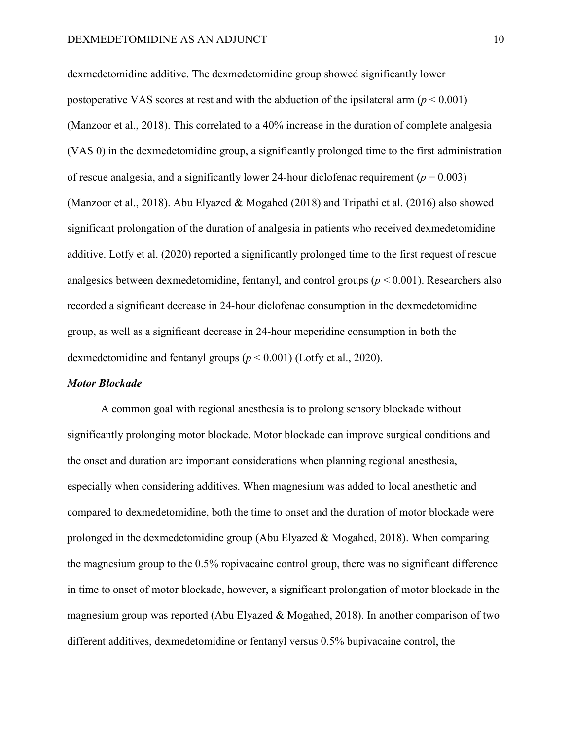dexmedetomidine additive. The dexmedetomidine group showed significantly lower postoperative VAS scores at rest and with the abduction of the ipsilateral arm  $(p < 0.001)$ (Manzoor et al., 2018). This correlated to a 40% increase in the duration of complete analgesia (VAS 0) in the dexmedetomidine group, a significantly prolonged time to the first administration of rescue analgesia, and a significantly lower 24-hour diclofenac requirement ( $p = 0.003$ ) (Manzoor et al., 2018). Abu Elyazed & Mogahed (2018) and Tripathi et al. (2016) also showed significant prolongation of the duration of analgesia in patients who received dexmedetomidine additive. Lotfy et al. (2020) reported a significantly prolonged time to the first request of rescue analgesics between dexmedetomidine, fentanyl, and control groups (*p* < 0.001). Researchers also recorded a significant decrease in 24-hour diclofenac consumption in the dexmedetomidine group, as well as a significant decrease in 24-hour meperidine consumption in both the dexmedetomidine and fentanyl groups (*p* < 0.001) (Lotfy et al., 2020).

#### *Motor Blockade*

A common goal with regional anesthesia is to prolong sensory blockade without significantly prolonging motor blockade. Motor blockade can improve surgical conditions and the onset and duration are important considerations when planning regional anesthesia, especially when considering additives. When magnesium was added to local anesthetic and compared to dexmedetomidine, both the time to onset and the duration of motor blockade were prolonged in the dexmedetomidine group (Abu Elyazed & Mogahed, 2018). When comparing the magnesium group to the 0.5% ropivacaine control group, there was no significant difference in time to onset of motor blockade, however, a significant prolongation of motor blockade in the magnesium group was reported (Abu Elyazed & Mogahed, 2018). In another comparison of two different additives, dexmedetomidine or fentanyl versus 0.5% bupivacaine control, the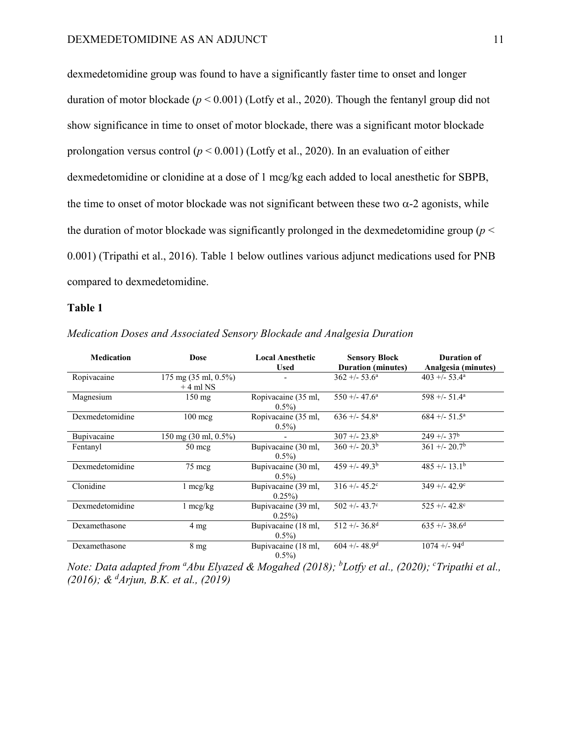dexmedetomidine group was found to have a significantly faster time to onset and longer duration of motor blockade (*p* < 0.001) (Lotfy et al., 2020). Though the fentanyl group did not show significance in time to onset of motor blockade, there was a significant motor blockade prolongation versus control (*p* < 0.001) (Lotfy et al., 2020). In an evaluation of either dexmedetomidine or clonidine at a dose of 1 mcg/kg each added to local anesthetic for SBPB, the time to onset of motor blockade was not significant between these two  $\alpha$ -2 agonists, while the duration of motor blockade was significantly prolonged in the dexmedetomidine group ( $p <$ 0.001) (Tripathi et al., 2016). Table 1 below outlines various adjunct medications used for PNB compared to dexmedetomidine.

# **Table 1**

| <b>Medication</b> | <b>Dose</b>                                            | <b>Local Anesthetic</b><br><b>Used</b> | <b>Sensory Block</b><br><b>Duration</b> (minutes) | <b>Duration of</b><br>Analgesia (minutes) |
|-------------------|--------------------------------------------------------|----------------------------------------|---------------------------------------------------|-------------------------------------------|
| Ropivacaine       | $175 \text{ mg } (35 \text{ ml}, 0.5\%)$<br>$+4$ ml NS |                                        | $362 + 53.6^{\circ}$                              | $403 + -53.4^{\circ}$                     |
| Magnesium         | $150 \text{ mg}$                                       | Ropivacaine (35 ml,<br>$0.5\%$         | $550 + -47.6^{\circ}$                             | $598 +/- 51.4^a$                          |
| Dexmedetomidine   | $100 \text{~mag}$                                      | Ropivacaine (35 ml,<br>$0.5\%$         | $636 + -54.8^{\circ}$                             | $684 + (-51.5^{\circ})$                   |
| Bupivacaine       | 150 mg (30 ml, 0.5%)                                   |                                        | $307 + -23.8^{b}$                                 | $249 + -37$ <sup>b</sup>                  |
| Fentanyl          | $50 \text{~me}$                                        | Bupivacaine (30 ml,<br>$0.5\%$         | $360 + 20.3b$                                     | $361 + (-20.7b)$                          |
| Dexmedetomidine   | 75 mcg                                                 | Bupivacaine (30 ml,<br>$0.5\%$         | $459 + (-49.3b)$                                  | $485 + (-13.1b)$                          |
| Clonidine         | $1 \text{ mcg/kg}$                                     | Bupivacaine (39 ml,<br>$0.25\%$        | $316 + (-45.2^{\circ})$                           | $349 + (-42.9°$                           |
| Dexmedetomidine   | $1 \text{~mg/kg}$                                      | Bupivacaine (39 ml,<br>$0.25\%$        | $502 + -43.7$ °                                   | $525 + (-42.8^{\circ})$                   |
| Dexamethasone     | $4 \text{ mg}$                                         | Bupivacaine (18 ml,<br>$0.5\%$         | $512 + (-36.8)$                                   | $635 + 38.6^d$                            |
| Dexamethasone     | 8 <sub>mg</sub>                                        | Bupivacaine (18 ml,<br>$0.5\%$         | $604 + (-48.9)$                                   | $1074 + -94$ <sup>d</sup>                 |

*Medication Doses and Associated Sensory Blockade and Analgesia Duration*

*Note: Data adapted from <sup>a</sup>Abu Elyazed & Mogahed (2018); <sup>b</sup>Lotfy et al., (2020); <sup>c</sup>Tripathi et al., (2016); & d Arjun, B.K. et al., (2019)*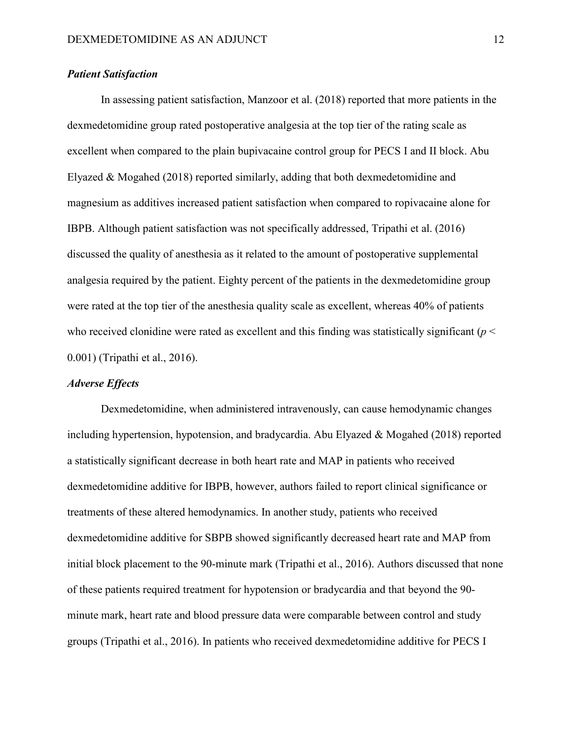# *Patient Satisfaction*

In assessing patient satisfaction, Manzoor et al. (2018) reported that more patients in the dexmedetomidine group rated postoperative analgesia at the top tier of the rating scale as excellent when compared to the plain bupivacaine control group for PECS I and II block. Abu Elyazed & Mogahed (2018) reported similarly, adding that both dexmedetomidine and magnesium as additives increased patient satisfaction when compared to ropivacaine alone for IBPB. Although patient satisfaction was not specifically addressed, Tripathi et al. (2016) discussed the quality of anesthesia as it related to the amount of postoperative supplemental analgesia required by the patient. Eighty percent of the patients in the dexmedetomidine group were rated at the top tier of the anesthesia quality scale as excellent, whereas 40% of patients who received clonidine were rated as excellent and this finding was statistically significant ( $p <$ 0.001) (Tripathi et al., 2016).

# *Adverse Effects*

Dexmedetomidine, when administered intravenously, can cause hemodynamic changes including hypertension, hypotension, and bradycardia. Abu Elyazed & Mogahed (2018) reported a statistically significant decrease in both heart rate and MAP in patients who received dexmedetomidine additive for IBPB, however, authors failed to report clinical significance or treatments of these altered hemodynamics. In another study, patients who received dexmedetomidine additive for SBPB showed significantly decreased heart rate and MAP from initial block placement to the 90-minute mark (Tripathi et al., 2016). Authors discussed that none of these patients required treatment for hypotension or bradycardia and that beyond the 90 minute mark, heart rate and blood pressure data were comparable between control and study groups (Tripathi et al., 2016). In patients who received dexmedetomidine additive for PECS I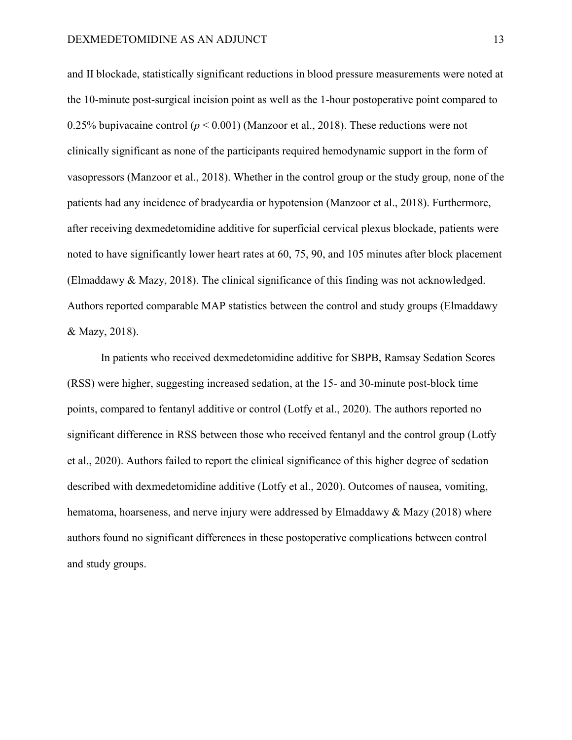and II blockade, statistically significant reductions in blood pressure measurements were noted at the 10-minute post-surgical incision point as well as the 1-hour postoperative point compared to 0.25% bupivacaine control ( $p < 0.001$ ) (Manzoor et al., 2018). These reductions were not clinically significant as none of the participants required hemodynamic support in the form of vasopressors (Manzoor et al., 2018). Whether in the control group or the study group, none of the patients had any incidence of bradycardia or hypotension (Manzoor et al., 2018). Furthermore, after receiving dexmedetomidine additive for superficial cervical plexus blockade, patients were noted to have significantly lower heart rates at 60, 75, 90, and 105 minutes after block placement (Elmaddawy & Mazy, 2018). The clinical significance of this finding was not acknowledged. Authors reported comparable MAP statistics between the control and study groups (Elmaddawy & Mazy, 2018).

In patients who received dexmedetomidine additive for SBPB, Ramsay Sedation Scores (RSS) were higher, suggesting increased sedation, at the 15- and 30-minute post-block time points, compared to fentanyl additive or control (Lotfy et al., 2020). The authors reported no significant difference in RSS between those who received fentanyl and the control group (Lotfy et al., 2020). Authors failed to report the clinical significance of this higher degree of sedation described with dexmedetomidine additive (Lotfy et al., 2020). Outcomes of nausea, vomiting, hematoma, hoarseness, and nerve injury were addressed by Elmaddawy & Mazy (2018) where authors found no significant differences in these postoperative complications between control and study groups.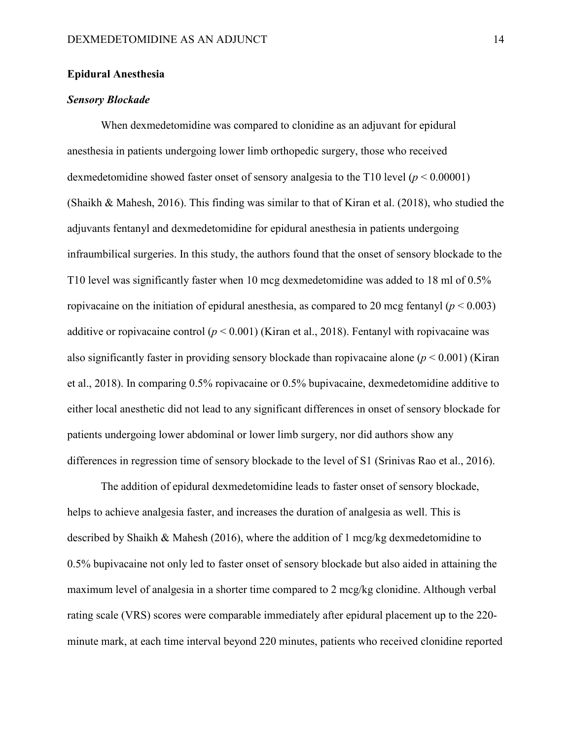# **Epidural Anesthesia**

# *Sensory Blockade*

When dexmedetomidine was compared to clonidine as an adjuvant for epidural anesthesia in patients undergoing lower limb orthopedic surgery, those who received dexmedetomidine showed faster onset of sensory analgesia to the T10 level (*p* < 0.00001) (Shaikh & Mahesh, 2016). This finding was similar to that of Kiran et al. (2018), who studied the adjuvants fentanyl and dexmedetomidine for epidural anesthesia in patients undergoing infraumbilical surgeries. In this study, the authors found that the onset of sensory blockade to the T10 level was significantly faster when 10 mcg dexmedetomidine was added to 18 ml of 0.5% ropivacaine on the initiation of epidural anesthesia, as compared to 20 mcg fentanyl ( $p < 0.003$ ) additive or ropivacaine control  $(p < 0.001)$  (Kiran et al., 2018). Fentanyl with ropivacaine was also significantly faster in providing sensory blockade than ropivacaine alone  $(p < 0.001)$  (Kiran et al., 2018). In comparing 0.5% ropivacaine or 0.5% bupivacaine, dexmedetomidine additive to either local anesthetic did not lead to any significant differences in onset of sensory blockade for patients undergoing lower abdominal or lower limb surgery, nor did authors show any differences in regression time of sensory blockade to the level of S1 (Srinivas Rao et al., 2016).

The addition of epidural dexmedetomidine leads to faster onset of sensory blockade, helps to achieve analgesia faster, and increases the duration of analgesia as well. This is described by Shaikh & Mahesh (2016), where the addition of 1 mcg/kg dexmedetomidine to 0.5% bupivacaine not only led to faster onset of sensory blockade but also aided in attaining the maximum level of analgesia in a shorter time compared to 2 mcg/kg clonidine. Although verbal rating scale (VRS) scores were comparable immediately after epidural placement up to the 220 minute mark, at each time interval beyond 220 minutes, patients who received clonidine reported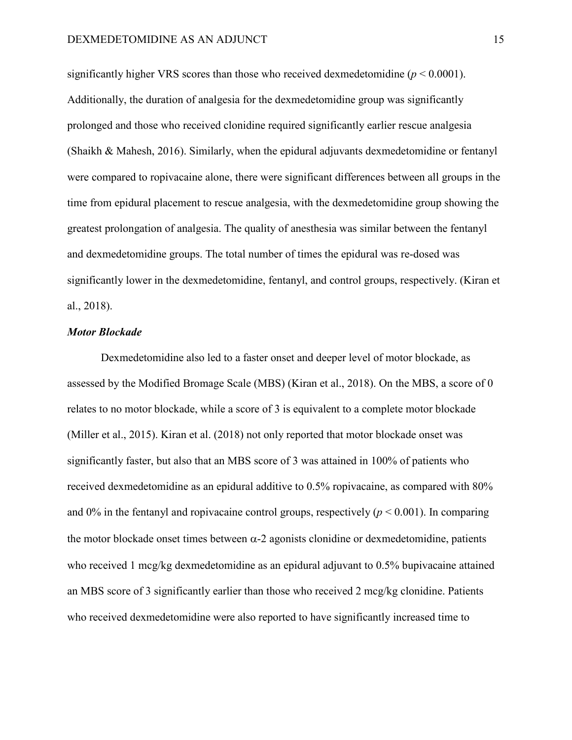significantly higher VRS scores than those who received dexmedetomidine  $(p < 0.0001)$ . Additionally, the duration of analgesia for the dexmedetomidine group was significantly prolonged and those who received clonidine required significantly earlier rescue analgesia (Shaikh & Mahesh, 2016). Similarly, when the epidural adjuvants dexmedetomidine or fentanyl were compared to ropivacaine alone, there were significant differences between all groups in the time from epidural placement to rescue analgesia, with the dexmedetomidine group showing the greatest prolongation of analgesia. The quality of anesthesia was similar between the fentanyl and dexmedetomidine groups. The total number of times the epidural was re-dosed was significantly lower in the dexmedetomidine, fentanyl, and control groups, respectively. (Kiran et al., 2018).

#### *Motor Blockade*

Dexmedetomidine also led to a faster onset and deeper level of motor blockade, as assessed by the Modified Bromage Scale (MBS) (Kiran et al., 2018). On the MBS, a score of 0 relates to no motor blockade, while a score of 3 is equivalent to a complete motor blockade (Miller et al., 2015). Kiran et al. (2018) not only reported that motor blockade onset was significantly faster, but also that an MBS score of 3 was attained in 100% of patients who received dexmedetomidine as an epidural additive to 0.5% ropivacaine, as compared with 80% and  $0\%$  in the fentanyl and ropivacaine control groups, respectively ( $p < 0.001$ ). In comparing the motor blockade onset times between  $\alpha$ -2 agonists clonidine or dexmedetomidine, patients who received 1 mcg/kg dexmedetomidine as an epidural adjuvant to 0.5% bupivacaine attained an MBS score of 3 significantly earlier than those who received 2 mcg/kg clonidine. Patients who received dexmedetomidine were also reported to have significantly increased time to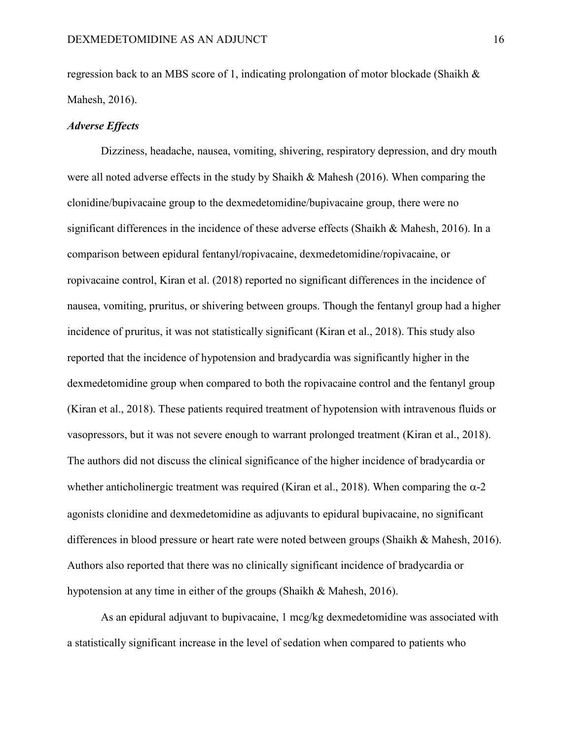regression back to an MBS score of 1, indicating prolongation of motor blockade (Shaikh & Mahesh, 2016).

# *Adverse Effects*

Dizziness, headache, nausea, vomiting, shivering, respiratory depression, and dry mouth were all noted adverse effects in the study by Shaikh & Mahesh (2016). When comparing the clonidine/bupivacaine group to the dexmedetomidine/bupivacaine group, there were no significant differences in the incidence of these adverse effects (Shaikh & Mahesh, 2016). In a comparison between epidural fentanyl/ropivacaine, dexmedetomidine/ropivacaine, or ropivacaine control, Kiran et al. (2018) reported no significant differences in the incidence of nausea, vomiting, pruritus, or shivering between groups. Though the fentanyl group had a higher incidence of pruritus, it was not statistically significant (Kiran et al., 2018). This study also reported that the incidence of hypotension and bradycardia was significantly higher in the dexmedetomidine group when compared to both the ropivacaine control and the fentanyl group (Kiran et al., 2018). These patients required treatment of hypotension with intravenous fluids or vasopressors, but it was not severe enough to warrant prolonged treatment (Kiran et al., 2018). The authors did not discuss the clinical significance of the higher incidence of bradycardia or whether anticholinergic treatment was required (Kiran et al., 2018). When comparing the  $\alpha$ -2 agonists clonidine and dexmedetomidine as adjuvants to epidural bupivacaine, no significant differences in blood pressure or heart rate were noted between groups (Shaikh & Mahesh, 2016). Authors also reported that there was no clinically significant incidence of bradycardia or hypotension at any time in either of the groups (Shaikh & Mahesh, 2016).

As an epidural adjuvant to bupivacaine, 1 mcg/kg dexmedetomidine was associated with a statistically significant increase in the level of sedation when compared to patients who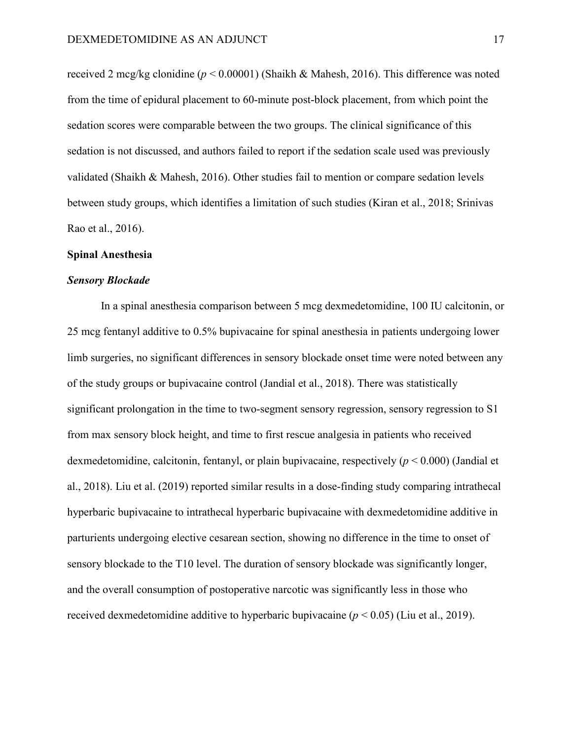received 2 mcg/kg clonidine (*p* < 0.00001) (Shaikh & Mahesh, 2016). This difference was noted from the time of epidural placement to 60-minute post-block placement, from which point the sedation scores were comparable between the two groups. The clinical significance of this sedation is not discussed, and authors failed to report if the sedation scale used was previously validated (Shaikh & Mahesh, 2016). Other studies fail to mention or compare sedation levels between study groups, which identifies a limitation of such studies (Kiran et al., 2018; Srinivas Rao et al., 2016).

#### **Spinal Anesthesia**

#### *Sensory Blockade*

In a spinal anesthesia comparison between 5 mcg dexmedetomidine, 100 IU calcitonin, or 25 mcg fentanyl additive to 0.5% bupivacaine for spinal anesthesia in patients undergoing lower limb surgeries, no significant differences in sensory blockade onset time were noted between any of the study groups or bupivacaine control (Jandial et al., 2018). There was statistically significant prolongation in the time to two-segment sensory regression, sensory regression to S1 from max sensory block height, and time to first rescue analgesia in patients who received dexmedetomidine, calcitonin, fentanyl, or plain bupivacaine, respectively (*p* < 0.000) (Jandial et al., 2018). Liu et al. (2019) reported similar results in a dose-finding study comparing intrathecal hyperbaric bupivacaine to intrathecal hyperbaric bupivacaine with dexmedetomidine additive in parturients undergoing elective cesarean section, showing no difference in the time to onset of sensory blockade to the T10 level. The duration of sensory blockade was significantly longer, and the overall consumption of postoperative narcotic was significantly less in those who received dexmedetomidine additive to hyperbaric bupivacaine (*p* < 0.05) (Liu et al., 2019).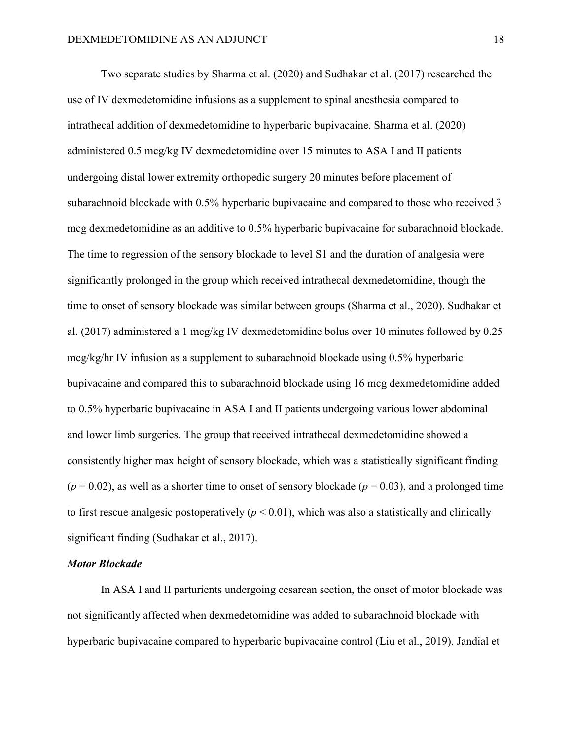Two separate studies by Sharma et al. (2020) and Sudhakar et al. (2017) researched the use of IV dexmedetomidine infusions as a supplement to spinal anesthesia compared to intrathecal addition of dexmedetomidine to hyperbaric bupivacaine. Sharma et al. (2020) administered 0.5 mcg/kg IV dexmedetomidine over 15 minutes to ASA I and II patients undergoing distal lower extremity orthopedic surgery 20 minutes before placement of subarachnoid blockade with 0.5% hyperbaric bupivacaine and compared to those who received 3 mcg dexmedetomidine as an additive to 0.5% hyperbaric bupivacaine for subarachnoid blockade. The time to regression of the sensory blockade to level S1 and the duration of analgesia were significantly prolonged in the group which received intrathecal dexmedetomidine, though the time to onset of sensory blockade was similar between groups (Sharma et al., 2020). Sudhakar et al. (2017) administered a 1 mcg/kg IV dexmedetomidine bolus over 10 minutes followed by 0.25 mcg/kg/hr IV infusion as a supplement to subarachnoid blockade using 0.5% hyperbaric bupivacaine and compared this to subarachnoid blockade using 16 mcg dexmedetomidine added to 0.5% hyperbaric bupivacaine in ASA I and II patients undergoing various lower abdominal and lower limb surgeries. The group that received intrathecal dexmedetomidine showed a consistently higher max height of sensory blockade, which was a statistically significant finding  $(p = 0.02)$ , as well as a shorter time to onset of sensory blockade  $(p = 0.03)$ , and a prolonged time to first rescue analgesic postoperatively ( $p < 0.01$ ), which was also a statistically and clinically significant finding (Sudhakar et al., 2017).

#### *Motor Blockade*

In ASA I and II parturients undergoing cesarean section, the onset of motor blockade was not significantly affected when dexmedetomidine was added to subarachnoid blockade with hyperbaric bupivacaine compared to hyperbaric bupivacaine control (Liu et al., 2019). Jandial et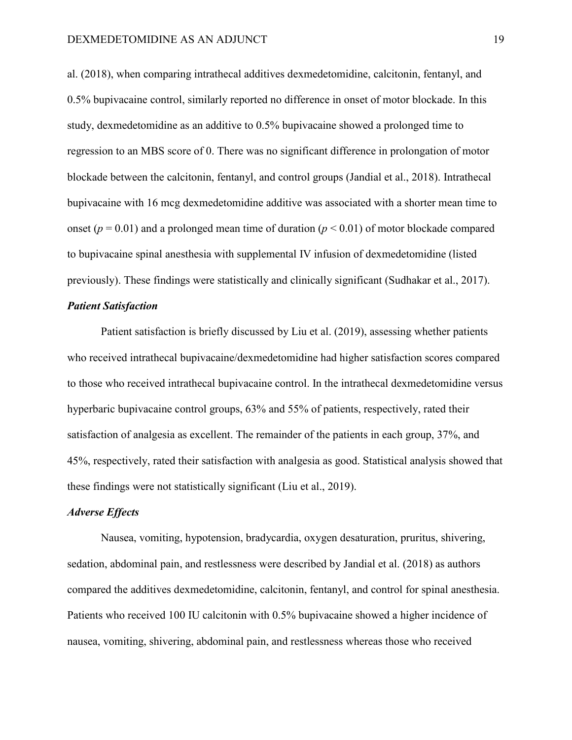al. (2018), when comparing intrathecal additives dexmedetomidine, calcitonin, fentanyl, and 0.5% bupivacaine control, similarly reported no difference in onset of motor blockade. In this study, dexmedetomidine as an additive to 0.5% bupivacaine showed a prolonged time to regression to an MBS score of 0. There was no significant difference in prolongation of motor blockade between the calcitonin, fentanyl, and control groups (Jandial et al., 2018). Intrathecal bupivacaine with 16 mcg dexmedetomidine additive was associated with a shorter mean time to onset ( $p = 0.01$ ) and a prolonged mean time of duration ( $p \le 0.01$ ) of motor blockade compared to bupivacaine spinal anesthesia with supplemental IV infusion of dexmedetomidine (listed previously). These findings were statistically and clinically significant (Sudhakar et al., 2017).

# *Patient Satisfaction*

Patient satisfaction is briefly discussed by Liu et al. (2019), assessing whether patients who received intrathecal bupivacaine/dexmedetomidine had higher satisfaction scores compared to those who received intrathecal bupivacaine control. In the intrathecal dexmedetomidine versus hyperbaric bupivacaine control groups, 63% and 55% of patients, respectively, rated their satisfaction of analgesia as excellent. The remainder of the patients in each group, 37%, and 45%, respectively, rated their satisfaction with analgesia as good. Statistical analysis showed that these findings were not statistically significant (Liu et al., 2019).

# *Adverse Effects*

Nausea, vomiting, hypotension, bradycardia, oxygen desaturation, pruritus, shivering, sedation, abdominal pain, and restlessness were described by Jandial et al. (2018) as authors compared the additives dexmedetomidine, calcitonin, fentanyl, and control for spinal anesthesia. Patients who received 100 IU calcitonin with 0.5% bupivacaine showed a higher incidence of nausea, vomiting, shivering, abdominal pain, and restlessness whereas those who received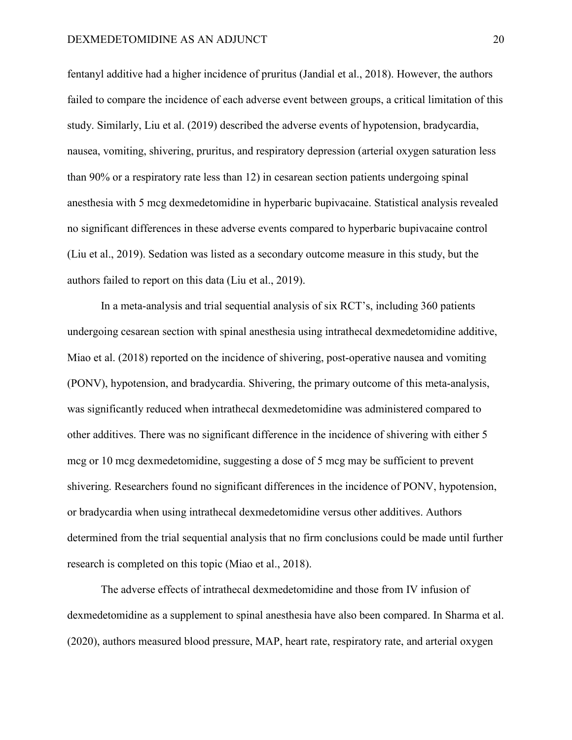fentanyl additive had a higher incidence of pruritus (Jandial et al., 2018). However, the authors failed to compare the incidence of each adverse event between groups, a critical limitation of this study. Similarly, Liu et al. (2019) described the adverse events of hypotension, bradycardia, nausea, vomiting, shivering, pruritus, and respiratory depression (arterial oxygen saturation less than 90% or a respiratory rate less than 12) in cesarean section patients undergoing spinal anesthesia with 5 mcg dexmedetomidine in hyperbaric bupivacaine. Statistical analysis revealed no significant differences in these adverse events compared to hyperbaric bupivacaine control (Liu et al., 2019). Sedation was listed as a secondary outcome measure in this study, but the authors failed to report on this data (Liu et al., 2019).

In a meta-analysis and trial sequential analysis of six RCT's, including 360 patients undergoing cesarean section with spinal anesthesia using intrathecal dexmedetomidine additive, Miao et al. (2018) reported on the incidence of shivering, post-operative nausea and vomiting (PONV), hypotension, and bradycardia. Shivering, the primary outcome of this meta-analysis, was significantly reduced when intrathecal dexmedetomidine was administered compared to other additives. There was no significant difference in the incidence of shivering with either 5 mcg or 10 mcg dexmedetomidine, suggesting a dose of 5 mcg may be sufficient to prevent shivering. Researchers found no significant differences in the incidence of PONV, hypotension, or bradycardia when using intrathecal dexmedetomidine versus other additives. Authors determined from the trial sequential analysis that no firm conclusions could be made until further research is completed on this topic (Miao et al., 2018).

The adverse effects of intrathecal dexmedetomidine and those from IV infusion of dexmedetomidine as a supplement to spinal anesthesia have also been compared. In Sharma et al. (2020), authors measured blood pressure, MAP, heart rate, respiratory rate, and arterial oxygen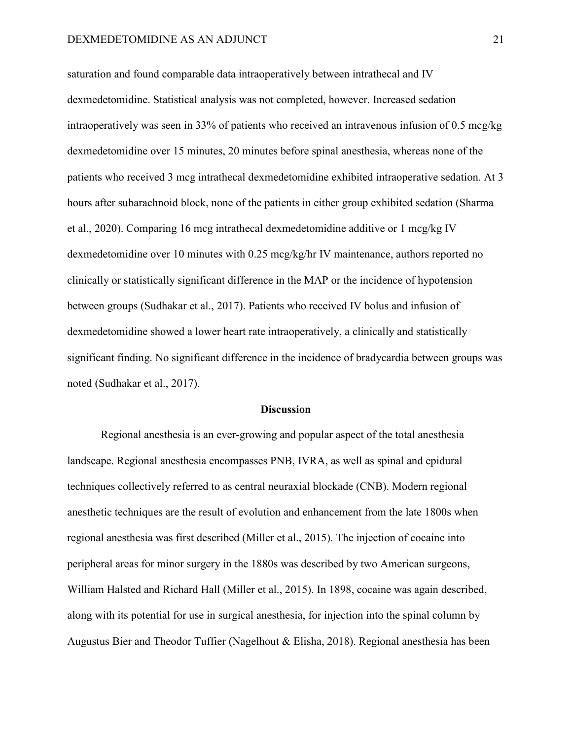saturation and found comparable data intraoperatively between intrathecal and IV dexmedetomidine. Statistical analysis was not completed, however. Increased sedation intraoperatively was seen in 33% of patients who received an intravenous infusion of 0.5 mcg/kg dexmedetomidine over 15 minutes, 20 minutes before spinal anesthesia, whereas none of the patients who received 3 mcg intrathecal dexmedetomidine exhibited intraoperative sedation. At 3 hours after subarachnoid block, none of the patients in either group exhibited sedation (Sharma et al., 2020). Comparing 16 mcg intrathecal dexmedetomidine additive or 1 mcg/kg IV dexmedetomidine over 10 minutes with 0.25 mcg/kg/hr IV maintenance, authors reported no clinically or statistically significant difference in the MAP or the incidence of hypotension between groups (Sudhakar et al., 2017). Patients who received IV bolus and infusion of dexmedetomidine showed a lower heart rate intraoperatively, a clinically and statistically significant finding. No significant difference in the incidence of bradycardia between groups was noted (Sudhakar et al., 2017).

#### **Discussion**

Regional anesthesia is an ever-growing and popular aspect of the total anesthesia landscape. Regional anesthesia encompasses PNB, IVRA, as well as spinal and epidural techniques collectively referred to as central neuraxial blockade (CNB). Modern regional anesthetic techniques are the result of evolution and enhancement from the late 1800s when regional anesthesia was first described (Miller et al., 2015). The injection of cocaine into peripheral areas for minor surgery in the 1880s was described by two American surgeons, William Halsted and Richard Hall (Miller et al., 2015). In 1898, cocaine was again described, along with its potential for use in surgical anesthesia, for injection into the spinal column by Augustus Bier and Theodor Tuffier (Nagelhout & Elisha, 2018). Regional anesthesia has been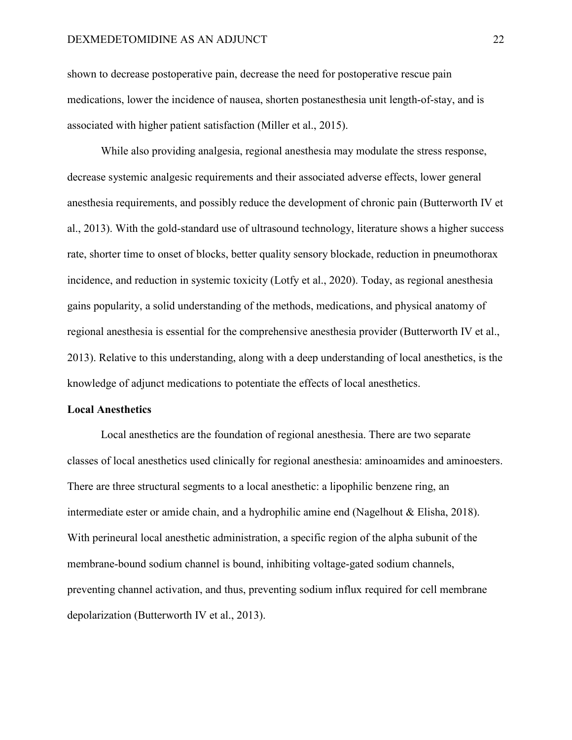shown to decrease postoperative pain, decrease the need for postoperative rescue pain medications, lower the incidence of nausea, shorten postanesthesia unit length-of-stay, and is associated with higher patient satisfaction (Miller et al., 2015).

While also providing analgesia, regional anesthesia may modulate the stress response, decrease systemic analgesic requirements and their associated adverse effects, lower general anesthesia requirements, and possibly reduce the development of chronic pain (Butterworth IV et al., 2013). With the gold-standard use of ultrasound technology, literature shows a higher success rate, shorter time to onset of blocks, better quality sensory blockade, reduction in pneumothorax incidence, and reduction in systemic toxicity (Lotfy et al., 2020). Today, as regional anesthesia gains popularity, a solid understanding of the methods, medications, and physical anatomy of regional anesthesia is essential for the comprehensive anesthesia provider (Butterworth IV et al., 2013). Relative to this understanding, along with a deep understanding of local anesthetics, is the knowledge of adjunct medications to potentiate the effects of local anesthetics.

#### **Local Anesthetics**

Local anesthetics are the foundation of regional anesthesia. There are two separate classes of local anesthetics used clinically for regional anesthesia: aminoamides and aminoesters. There are three structural segments to a local anesthetic: a lipophilic benzene ring, an intermediate ester or amide chain, and a hydrophilic amine end (Nagelhout & Elisha, 2018). With perineural local anesthetic administration, a specific region of the alpha subunit of the membrane-bound sodium channel is bound, inhibiting voltage-gated sodium channels, preventing channel activation, and thus, preventing sodium influx required for cell membrane depolarization (Butterworth IV et al., 2013).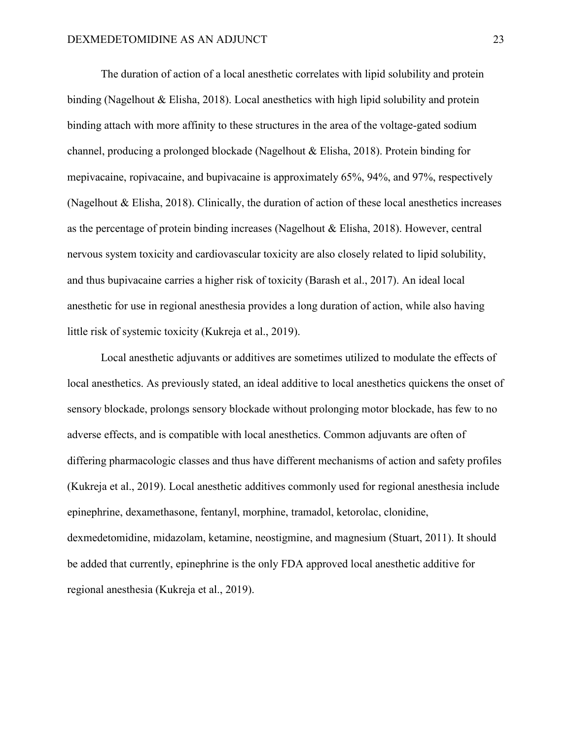The duration of action of a local anesthetic correlates with lipid solubility and protein binding (Nagelhout & Elisha, 2018). Local anesthetics with high lipid solubility and protein binding attach with more affinity to these structures in the area of the voltage-gated sodium channel, producing a prolonged blockade (Nagelhout & Elisha, 2018). Protein binding for mepivacaine, ropivacaine, and bupivacaine is approximately 65%, 94%, and 97%, respectively (Nagelhout & Elisha, 2018). Clinically, the duration of action of these local anesthetics increases as the percentage of protein binding increases (Nagelhout & Elisha, 2018). However, central nervous system toxicity and cardiovascular toxicity are also closely related to lipid solubility, and thus bupivacaine carries a higher risk of toxicity (Barash et al., 2017). An ideal local anesthetic for use in regional anesthesia provides a long duration of action, while also having little risk of systemic toxicity (Kukreja et al., 2019).

Local anesthetic adjuvants or additives are sometimes utilized to modulate the effects of local anesthetics. As previously stated, an ideal additive to local anesthetics quickens the onset of sensory blockade, prolongs sensory blockade without prolonging motor blockade, has few to no adverse effects, and is compatible with local anesthetics. Common adjuvants are often of differing pharmacologic classes and thus have different mechanisms of action and safety profiles (Kukreja et al., 2019). Local anesthetic additives commonly used for regional anesthesia include epinephrine, dexamethasone, fentanyl, morphine, tramadol, ketorolac, clonidine, dexmedetomidine, midazolam, ketamine, neostigmine, and magnesium (Stuart, 2011). It should be added that currently, epinephrine is the only FDA approved local anesthetic additive for regional anesthesia (Kukreja et al., 2019).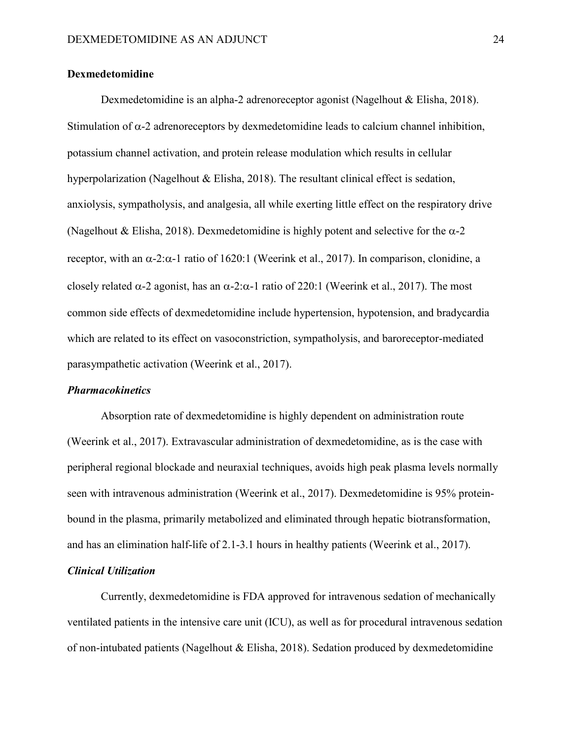# **Dexmedetomidine**

Dexmedetomidine is an alpha-2 adrenoreceptor agonist (Nagelhout & Elisha, 2018). Stimulation of  $\alpha$ -2 adrenoreceptors by dexmedetomidine leads to calcium channel inhibition, potassium channel activation, and protein release modulation which results in cellular hyperpolarization (Nagelhout & Elisha, 2018). The resultant clinical effect is sedation, anxiolysis, sympatholysis, and analgesia, all while exerting little effect on the respiratory drive (Nagelhout & Elisha, 2018). Dexmedetomidine is highly potent and selective for the  $\alpha$ -2 receptor, with an α-2:α-1 ratio of 1620:1 (Weerink et al., 2017). In comparison, clonidine, a closely related  $\alpha$ -2 agonist, has an  $\alpha$ -2: $\alpha$ -1 ratio of 220:1 (Weerink et al., 2017). The most common side effects of dexmedetomidine include hypertension, hypotension, and bradycardia which are related to its effect on vasoconstriction, sympatholysis, and baroreceptor-mediated parasympathetic activation (Weerink et al., 2017).

#### *Pharmacokinetics*

Absorption rate of dexmedetomidine is highly dependent on administration route (Weerink et al., 2017). Extravascular administration of dexmedetomidine, as is the case with peripheral regional blockade and neuraxial techniques, avoids high peak plasma levels normally seen with intravenous administration (Weerink et al., 2017). Dexmedetomidine is 95% proteinbound in the plasma, primarily metabolized and eliminated through hepatic biotransformation, and has an elimination half-life of 2.1-3.1 hours in healthy patients (Weerink et al., 2017).

# *Clinical Utilization*

Currently, dexmedetomidine is FDA approved for intravenous sedation of mechanically ventilated patients in the intensive care unit (ICU), as well as for procedural intravenous sedation of non-intubated patients (Nagelhout & Elisha, 2018). Sedation produced by dexmedetomidine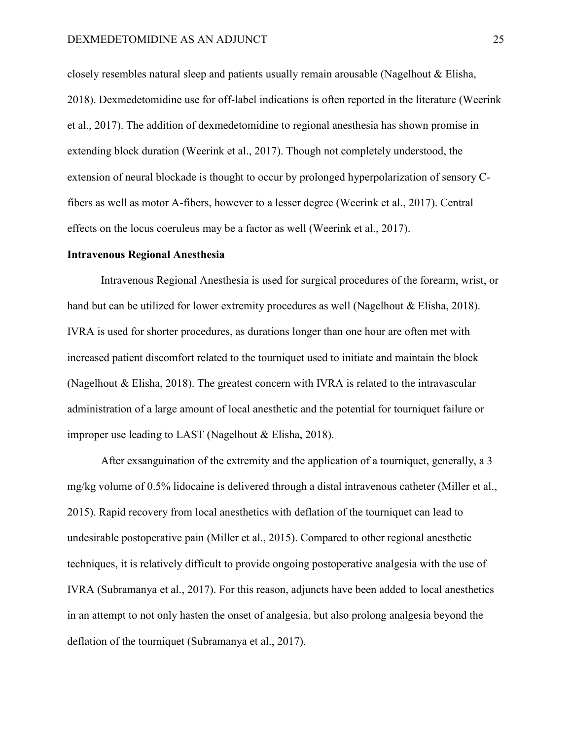closely resembles natural sleep and patients usually remain arousable (Nagelhout & Elisha, 2018). Dexmedetomidine use for off-label indications is often reported in the literature (Weerink et al., 2017). The addition of dexmedetomidine to regional anesthesia has shown promise in extending block duration (Weerink et al., 2017). Though not completely understood, the extension of neural blockade is thought to occur by prolonged hyperpolarization of sensory Cfibers as well as motor A-fibers, however to a lesser degree (Weerink et al., 2017). Central effects on the locus coeruleus may be a factor as well (Weerink et al., 2017).

# **Intravenous Regional Anesthesia**

Intravenous Regional Anesthesia is used for surgical procedures of the forearm, wrist, or hand but can be utilized for lower extremity procedures as well (Nagelhout & Elisha, 2018). IVRA is used for shorter procedures, as durations longer than one hour are often met with increased patient discomfort related to the tourniquet used to initiate and maintain the block (Nagelhout & Elisha, 2018). The greatest concern with IVRA is related to the intravascular administration of a large amount of local anesthetic and the potential for tourniquet failure or improper use leading to LAST (Nagelhout & Elisha, 2018).

After exsanguination of the extremity and the application of a tourniquet, generally, a 3 mg/kg volume of 0.5% lidocaine is delivered through a distal intravenous catheter (Miller et al., 2015). Rapid recovery from local anesthetics with deflation of the tourniquet can lead to undesirable postoperative pain (Miller et al., 2015). Compared to other regional anesthetic techniques, it is relatively difficult to provide ongoing postoperative analgesia with the use of IVRA (Subramanya et al., 2017). For this reason, adjuncts have been added to local anesthetics in an attempt to not only hasten the onset of analgesia, but also prolong analgesia beyond the deflation of the tourniquet (Subramanya et al., 2017).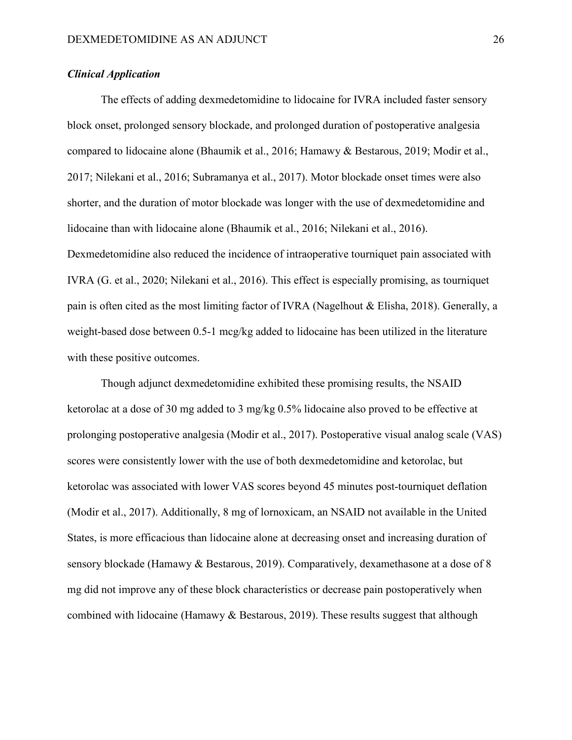# *Clinical Application*

The effects of adding dexmedetomidine to lidocaine for IVRA included faster sensory block onset, prolonged sensory blockade, and prolonged duration of postoperative analgesia compared to lidocaine alone (Bhaumik et al., 2016; Hamawy & Bestarous, 2019; Modir et al., 2017; Nilekani et al., 2016; Subramanya et al., 2017). Motor blockade onset times were also shorter, and the duration of motor blockade was longer with the use of dexmedetomidine and lidocaine than with lidocaine alone (Bhaumik et al., 2016; Nilekani et al., 2016). Dexmedetomidine also reduced the incidence of intraoperative tourniquet pain associated with IVRA (G. et al., 2020; Nilekani et al., 2016). This effect is especially promising, as tourniquet pain is often cited as the most limiting factor of IVRA (Nagelhout & Elisha, 2018). Generally, a weight-based dose between 0.5-1 mcg/kg added to lidocaine has been utilized in the literature with these positive outcomes.

Though adjunct dexmedetomidine exhibited these promising results, the NSAID ketorolac at a dose of 30 mg added to 3 mg/kg 0.5% lidocaine also proved to be effective at prolonging postoperative analgesia (Modir et al., 2017). Postoperative visual analog scale (VAS) scores were consistently lower with the use of both dexmedetomidine and ketorolac, but ketorolac was associated with lower VAS scores beyond 45 minutes post-tourniquet deflation (Modir et al., 2017). Additionally, 8 mg of lornoxicam, an NSAID not available in the United States, is more efficacious than lidocaine alone at decreasing onset and increasing duration of sensory blockade (Hamawy & Bestarous, 2019). Comparatively, dexamethasone at a dose of 8 mg did not improve any of these block characteristics or decrease pain postoperatively when combined with lidocaine (Hamawy & Bestarous, 2019). These results suggest that although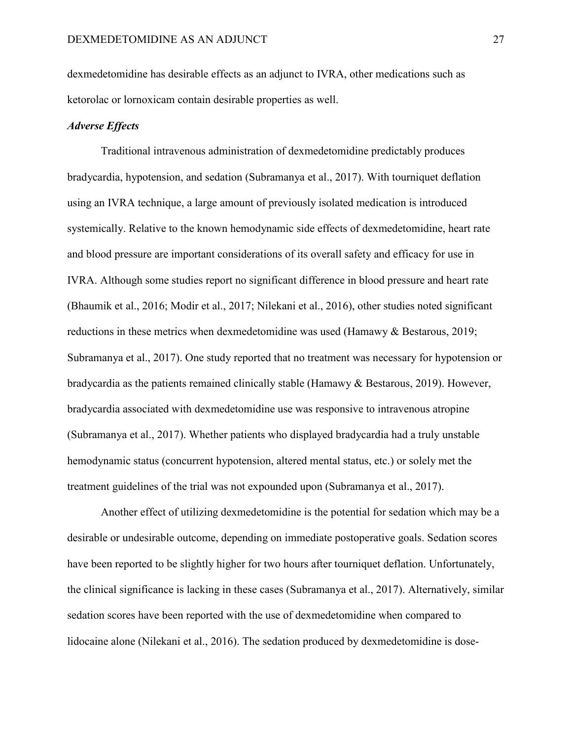dexmedetomidine has desirable effects as an adjunct to IVRA, other medications such as ketorolac or lornoxicam contain desirable properties as well.

# *Adverse Effects*

Traditional intravenous administration of dexmedetomidine predictably produces bradycardia, hypotension, and sedation (Subramanya et al., 2017). With tourniquet deflation using an IVRA technique, a large amount of previously isolated medication is introduced systemically. Relative to the known hemodynamic side effects of dexmedetomidine, heart rate and blood pressure are important considerations of its overall safety and efficacy for use in IVRA. Although some studies report no significant difference in blood pressure and heart rate (Bhaumik et al., 2016; Modir et al., 2017; Nilekani et al., 2016), other studies noted significant reductions in these metrics when dexmedetomidine was used (Hamawy & Bestarous, 2019; Subramanya et al., 2017). One study reported that no treatment was necessary for hypotension or bradycardia as the patients remained clinically stable (Hamawy & Bestarous, 2019). However, bradycardia associated with dexmedetomidine use was responsive to intravenous atropine (Subramanya et al., 2017). Whether patients who displayed bradycardia had a truly unstable hemodynamic status (concurrent hypotension, altered mental status, etc.) or solely met the treatment guidelines of the trial was not expounded upon (Subramanya et al., 2017).

Another effect of utilizing dexmedetomidine is the potential for sedation which may be a desirable or undesirable outcome, depending on immediate postoperative goals. Sedation scores have been reported to be slightly higher for two hours after tourniquet deflation. Unfortunately, the clinical significance is lacking in these cases (Subramanya et al., 2017). Alternatively, similar sedation scores have been reported with the use of dexmedetomidine when compared to lidocaine alone (Nilekani et al., 2016). The sedation produced by dexmedetomidine is dose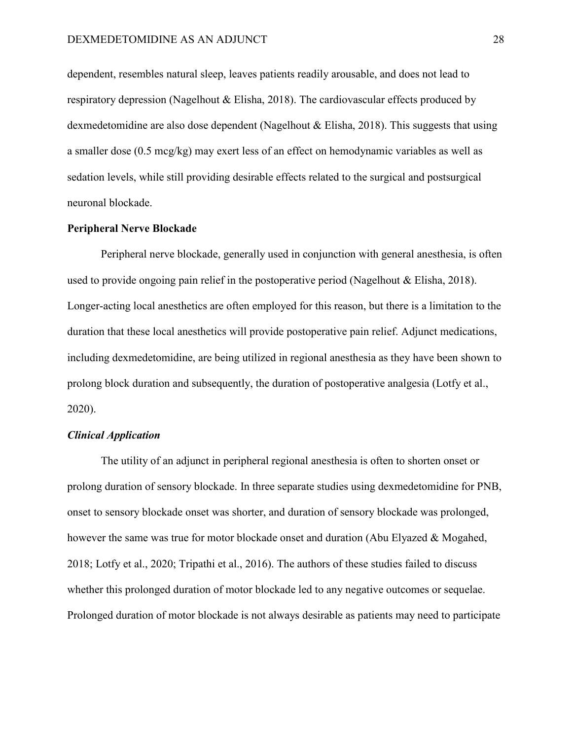dependent, resembles natural sleep, leaves patients readily arousable, and does not lead to respiratory depression (Nagelhout & Elisha, 2018). The cardiovascular effects produced by dexmedetomidine are also dose dependent (Nagelhout & Elisha, 2018). This suggests that using a smaller dose (0.5 mcg/kg) may exert less of an effect on hemodynamic variables as well as sedation levels, while still providing desirable effects related to the surgical and postsurgical neuronal blockade.

# **Peripheral Nerve Blockade**

Peripheral nerve blockade, generally used in conjunction with general anesthesia, is often used to provide ongoing pain relief in the postoperative period (Nagelhout & Elisha, 2018). Longer-acting local anesthetics are often employed for this reason, but there is a limitation to the duration that these local anesthetics will provide postoperative pain relief. Adjunct medications, including dexmedetomidine, are being utilized in regional anesthesia as they have been shown to prolong block duration and subsequently, the duration of postoperative analgesia (Lotfy et al., 2020).

# *Clinical Application*

The utility of an adjunct in peripheral regional anesthesia is often to shorten onset or prolong duration of sensory blockade. In three separate studies using dexmedetomidine for PNB, onset to sensory blockade onset was shorter, and duration of sensory blockade was prolonged, however the same was true for motor blockade onset and duration (Abu Elyazed & Mogahed, 2018; Lotfy et al., 2020; Tripathi et al., 2016). The authors of these studies failed to discuss whether this prolonged duration of motor blockade led to any negative outcomes or sequelae. Prolonged duration of motor blockade is not always desirable as patients may need to participate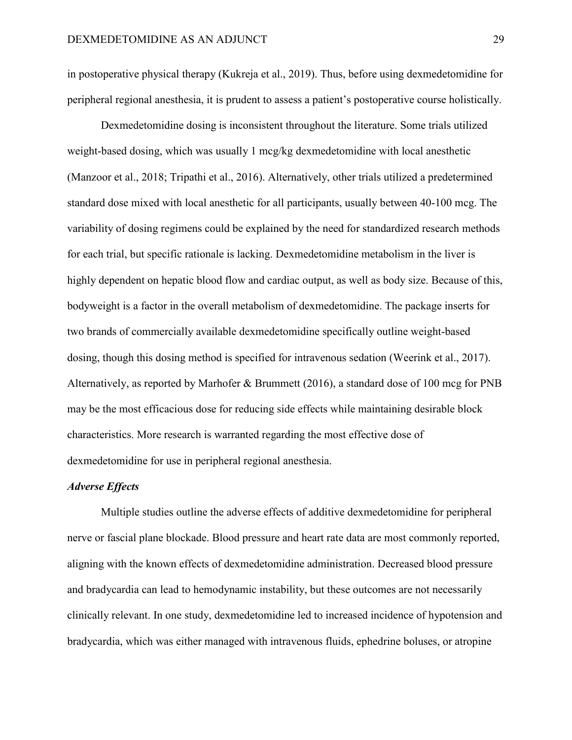in postoperative physical therapy (Kukreja et al., 2019). Thus, before using dexmedetomidine for peripheral regional anesthesia, it is prudent to assess a patient's postoperative course holistically.

Dexmedetomidine dosing is inconsistent throughout the literature. Some trials utilized weight-based dosing, which was usually 1 mcg/kg dexmedetomidine with local anesthetic (Manzoor et al., 2018; Tripathi et al., 2016). Alternatively, other trials utilized a predetermined standard dose mixed with local anesthetic for all participants, usually between 40-100 mcg. The variability of dosing regimens could be explained by the need for standardized research methods for each trial, but specific rationale is lacking. Dexmedetomidine metabolism in the liver is highly dependent on hepatic blood flow and cardiac output, as well as body size. Because of this, bodyweight is a factor in the overall metabolism of dexmedetomidine. The package inserts for two brands of commercially available dexmedetomidine specifically outline weight-based dosing, though this dosing method is specified for intravenous sedation (Weerink et al., 2017). Alternatively, as reported by Marhofer & Brummett (2016), a standard dose of 100 mcg for PNB may be the most efficacious dose for reducing side effects while maintaining desirable block characteristics. More research is warranted regarding the most effective dose of dexmedetomidine for use in peripheral regional anesthesia.

# *Adverse Effects*

Multiple studies outline the adverse effects of additive dexmedetomidine for peripheral nerve or fascial plane blockade. Blood pressure and heart rate data are most commonly reported, aligning with the known effects of dexmedetomidine administration. Decreased blood pressure and bradycardia can lead to hemodynamic instability, but these outcomes are not necessarily clinically relevant. In one study, dexmedetomidine led to increased incidence of hypotension and bradycardia, which was either managed with intravenous fluids, ephedrine boluses, or atropine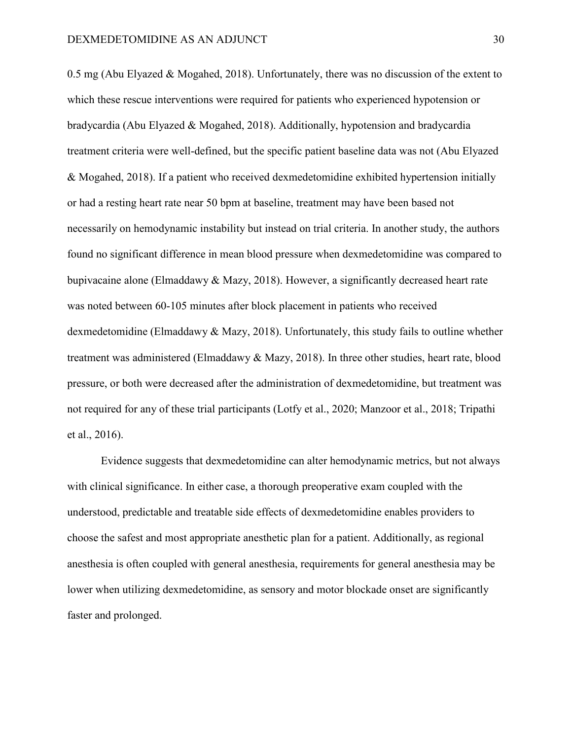0.5 mg (Abu Elyazed & Mogahed, 2018). Unfortunately, there was no discussion of the extent to which these rescue interventions were required for patients who experienced hypotension or bradycardia (Abu Elyazed & Mogahed, 2018). Additionally, hypotension and bradycardia treatment criteria were well-defined, but the specific patient baseline data was not (Abu Elyazed & Mogahed, 2018). If a patient who received dexmedetomidine exhibited hypertension initially or had a resting heart rate near 50 bpm at baseline, treatment may have been based not necessarily on hemodynamic instability but instead on trial criteria. In another study, the authors found no significant difference in mean blood pressure when dexmedetomidine was compared to bupivacaine alone (Elmaddawy & Mazy, 2018). However, a significantly decreased heart rate was noted between 60-105 minutes after block placement in patients who received dexmedetomidine (Elmaddawy & Mazy, 2018). Unfortunately, this study fails to outline whether treatment was administered (Elmaddawy & Mazy, 2018). In three other studies, heart rate, blood pressure, or both were decreased after the administration of dexmedetomidine, but treatment was not required for any of these trial participants (Lotfy et al., 2020; Manzoor et al., 2018; Tripathi et al., 2016).

Evidence suggests that dexmedetomidine can alter hemodynamic metrics, but not always with clinical significance. In either case, a thorough preoperative exam coupled with the understood, predictable and treatable side effects of dexmedetomidine enables providers to choose the safest and most appropriate anesthetic plan for a patient. Additionally, as regional anesthesia is often coupled with general anesthesia, requirements for general anesthesia may be lower when utilizing dexmedetomidine, as sensory and motor blockade onset are significantly faster and prolonged.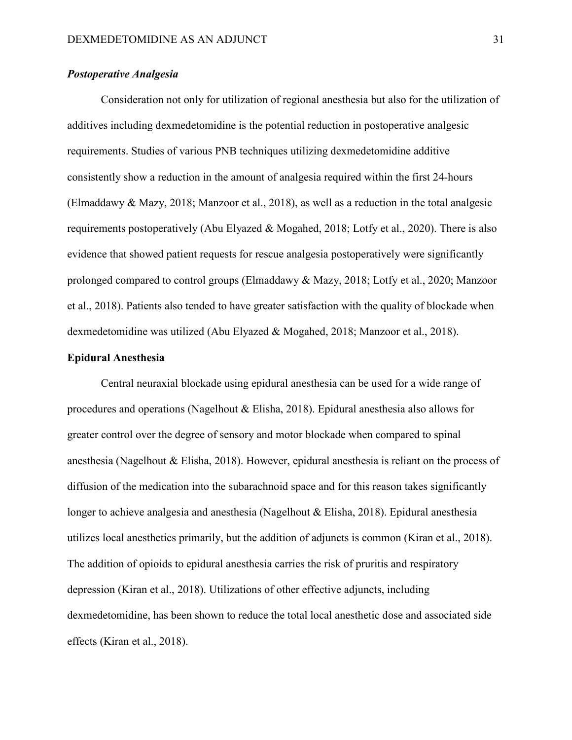# *Postoperative Analgesia*

Consideration not only for utilization of regional anesthesia but also for the utilization of additives including dexmedetomidine is the potential reduction in postoperative analgesic requirements. Studies of various PNB techniques utilizing dexmedetomidine additive consistently show a reduction in the amount of analgesia required within the first 24-hours (Elmaddawy & Mazy, 2018; Manzoor et al., 2018), as well as a reduction in the total analgesic requirements postoperatively (Abu Elyazed & Mogahed, 2018; Lotfy et al., 2020). There is also evidence that showed patient requests for rescue analgesia postoperatively were significantly prolonged compared to control groups (Elmaddawy & Mazy, 2018; Lotfy et al., 2020; Manzoor et al., 2018). Patients also tended to have greater satisfaction with the quality of blockade when dexmedetomidine was utilized (Abu Elyazed & Mogahed, 2018; Manzoor et al., 2018).

# **Epidural Anesthesia**

Central neuraxial blockade using epidural anesthesia can be used for a wide range of procedures and operations (Nagelhout & Elisha, 2018). Epidural anesthesia also allows for greater control over the degree of sensory and motor blockade when compared to spinal anesthesia (Nagelhout & Elisha, 2018). However, epidural anesthesia is reliant on the process of diffusion of the medication into the subarachnoid space and for this reason takes significantly longer to achieve analgesia and anesthesia (Nagelhout & Elisha, 2018). Epidural anesthesia utilizes local anesthetics primarily, but the addition of adjuncts is common (Kiran et al., 2018). The addition of opioids to epidural anesthesia carries the risk of pruritis and respiratory depression (Kiran et al., 2018). Utilizations of other effective adjuncts, including dexmedetomidine, has been shown to reduce the total local anesthetic dose and associated side effects (Kiran et al., 2018).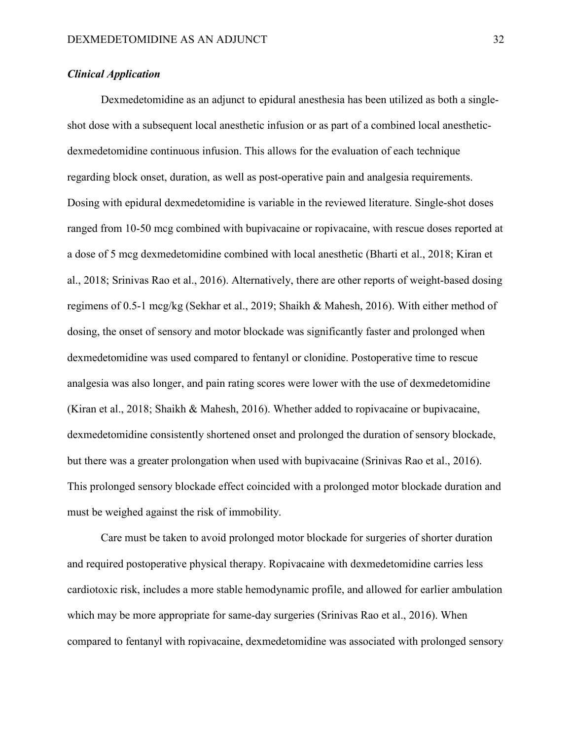# *Clinical Application*

Dexmedetomidine as an adjunct to epidural anesthesia has been utilized as both a singleshot dose with a subsequent local anesthetic infusion or as part of a combined local anestheticdexmedetomidine continuous infusion. This allows for the evaluation of each technique regarding block onset, duration, as well as post-operative pain and analgesia requirements. Dosing with epidural dexmedetomidine is variable in the reviewed literature. Single-shot doses ranged from 10-50 mcg combined with bupivacaine or ropivacaine, with rescue doses reported at a dose of 5 mcg dexmedetomidine combined with local anesthetic (Bharti et al., 2018; Kiran et al., 2018; Srinivas Rao et al., 2016). Alternatively, there are other reports of weight-based dosing regimens of 0.5-1 mcg/kg (Sekhar et al., 2019; Shaikh & Mahesh, 2016). With either method of dosing, the onset of sensory and motor blockade was significantly faster and prolonged when dexmedetomidine was used compared to fentanyl or clonidine. Postoperative time to rescue analgesia was also longer, and pain rating scores were lower with the use of dexmedetomidine (Kiran et al., 2018; Shaikh & Mahesh, 2016). Whether added to ropivacaine or bupivacaine, dexmedetomidine consistently shortened onset and prolonged the duration of sensory blockade, but there was a greater prolongation when used with bupivacaine (Srinivas Rao et al., 2016). This prolonged sensory blockade effect coincided with a prolonged motor blockade duration and must be weighed against the risk of immobility.

Care must be taken to avoid prolonged motor blockade for surgeries of shorter duration and required postoperative physical therapy. Ropivacaine with dexmedetomidine carries less cardiotoxic risk, includes a more stable hemodynamic profile, and allowed for earlier ambulation which may be more appropriate for same-day surgeries (Srinivas Rao et al., 2016). When compared to fentanyl with ropivacaine, dexmedetomidine was associated with prolonged sensory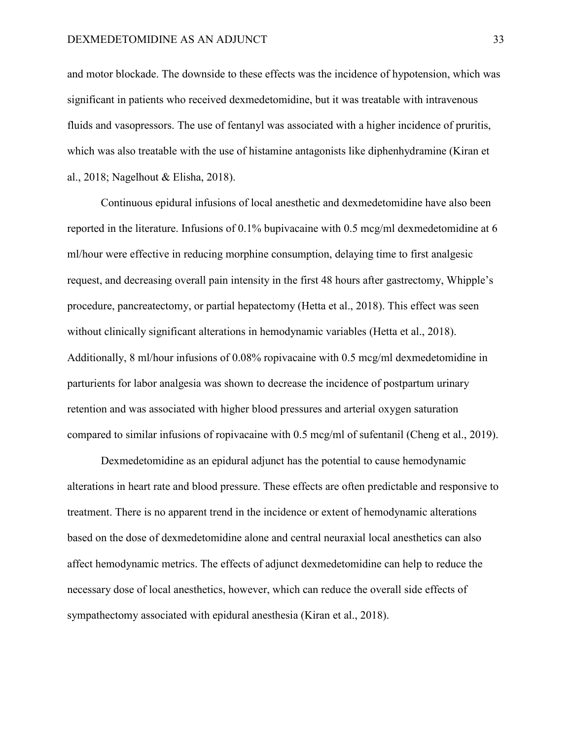and motor blockade. The downside to these effects was the incidence of hypotension, which was significant in patients who received dexmedetomidine, but it was treatable with intravenous fluids and vasopressors. The use of fentanyl was associated with a higher incidence of pruritis, which was also treatable with the use of histamine antagonists like diphenhydramine (Kiran et al., 2018; Nagelhout & Elisha, 2018).

Continuous epidural infusions of local anesthetic and dexmedetomidine have also been reported in the literature. Infusions of 0.1% bupivacaine with 0.5 mcg/ml dexmedetomidine at 6 ml/hour were effective in reducing morphine consumption, delaying time to first analgesic request, and decreasing overall pain intensity in the first 48 hours after gastrectomy, Whipple's procedure, pancreatectomy, or partial hepatectomy (Hetta et al., 2018). This effect was seen without clinically significant alterations in hemodynamic variables (Hetta et al., 2018). Additionally, 8 ml/hour infusions of 0.08% ropivacaine with 0.5 mcg/ml dexmedetomidine in parturients for labor analgesia was shown to decrease the incidence of postpartum urinary retention and was associated with higher blood pressures and arterial oxygen saturation compared to similar infusions of ropivacaine with 0.5 mcg/ml of sufentanil (Cheng et al., 2019).

Dexmedetomidine as an epidural adjunct has the potential to cause hemodynamic alterations in heart rate and blood pressure. These effects are often predictable and responsive to treatment. There is no apparent trend in the incidence or extent of hemodynamic alterations based on the dose of dexmedetomidine alone and central neuraxial local anesthetics can also affect hemodynamic metrics. The effects of adjunct dexmedetomidine can help to reduce the necessary dose of local anesthetics, however, which can reduce the overall side effects of sympathectomy associated with epidural anesthesia (Kiran et al., 2018).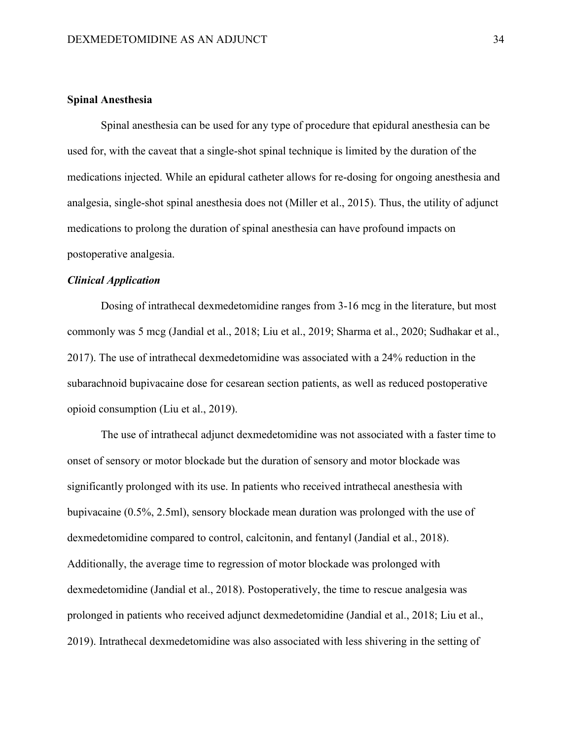# **Spinal Anesthesia**

Spinal anesthesia can be used for any type of procedure that epidural anesthesia can be used for, with the caveat that a single-shot spinal technique is limited by the duration of the medications injected. While an epidural catheter allows for re-dosing for ongoing anesthesia and analgesia, single-shot spinal anesthesia does not (Miller et al., 2015). Thus, the utility of adjunct medications to prolong the duration of spinal anesthesia can have profound impacts on postoperative analgesia.

# *Clinical Application*

Dosing of intrathecal dexmedetomidine ranges from 3-16 mcg in the literature, but most commonly was 5 mcg (Jandial et al., 2018; Liu et al., 2019; Sharma et al., 2020; Sudhakar et al., 2017). The use of intrathecal dexmedetomidine was associated with a 24% reduction in the subarachnoid bupivacaine dose for cesarean section patients, as well as reduced postoperative opioid consumption (Liu et al., 2019).

The use of intrathecal adjunct dexmedetomidine was not associated with a faster time to onset of sensory or motor blockade but the duration of sensory and motor blockade was significantly prolonged with its use. In patients who received intrathecal anesthesia with bupivacaine (0.5%, 2.5ml), sensory blockade mean duration was prolonged with the use of dexmedetomidine compared to control, calcitonin, and fentanyl (Jandial et al., 2018). Additionally, the average time to regression of motor blockade was prolonged with dexmedetomidine (Jandial et al., 2018). Postoperatively, the time to rescue analgesia was prolonged in patients who received adjunct dexmedetomidine (Jandial et al., 2018; Liu et al., 2019). Intrathecal dexmedetomidine was also associated with less shivering in the setting of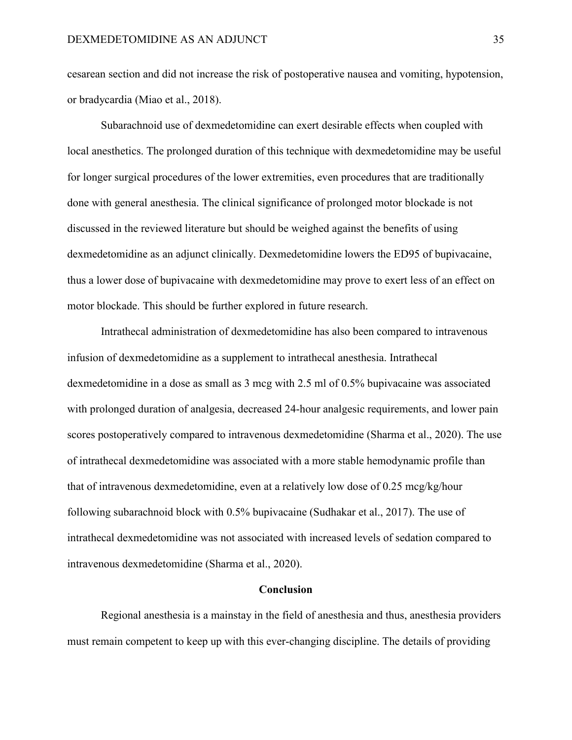cesarean section and did not increase the risk of postoperative nausea and vomiting, hypotension, or bradycardia (Miao et al., 2018).

Subarachnoid use of dexmedetomidine can exert desirable effects when coupled with local anesthetics. The prolonged duration of this technique with dexmedetomidine may be useful for longer surgical procedures of the lower extremities, even procedures that are traditionally done with general anesthesia. The clinical significance of prolonged motor blockade is not discussed in the reviewed literature but should be weighed against the benefits of using dexmedetomidine as an adjunct clinically. Dexmedetomidine lowers the ED95 of bupivacaine, thus a lower dose of bupivacaine with dexmedetomidine may prove to exert less of an effect on motor blockade. This should be further explored in future research.

Intrathecal administration of dexmedetomidine has also been compared to intravenous infusion of dexmedetomidine as a supplement to intrathecal anesthesia. Intrathecal dexmedetomidine in a dose as small as 3 mcg with 2.5 ml of 0.5% bupivacaine was associated with prolonged duration of analgesia, decreased 24-hour analgesic requirements, and lower pain scores postoperatively compared to intravenous dexmedetomidine (Sharma et al., 2020). The use of intrathecal dexmedetomidine was associated with a more stable hemodynamic profile than that of intravenous dexmedetomidine, even at a relatively low dose of 0.25 mcg/kg/hour following subarachnoid block with 0.5% bupivacaine (Sudhakar et al., 2017). The use of intrathecal dexmedetomidine was not associated with increased levels of sedation compared to intravenous dexmedetomidine (Sharma et al., 2020).

#### **Conclusion**

Regional anesthesia is a mainstay in the field of anesthesia and thus, anesthesia providers must remain competent to keep up with this ever-changing discipline. The details of providing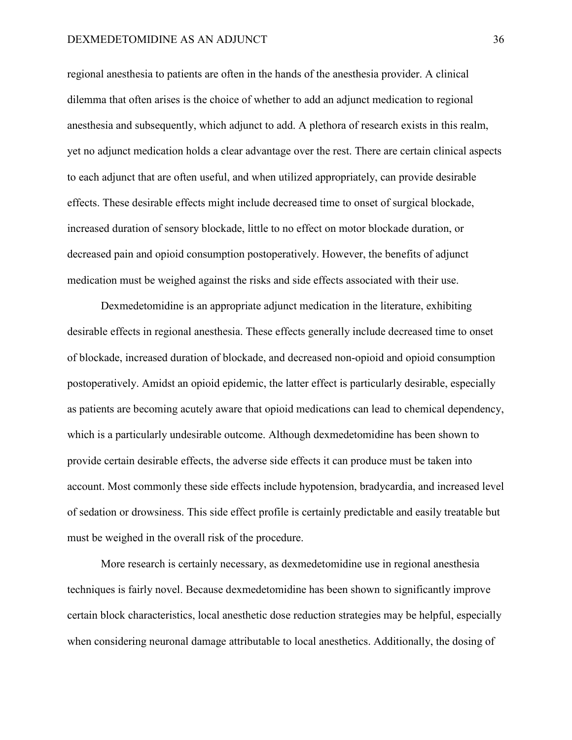regional anesthesia to patients are often in the hands of the anesthesia provider. A clinical dilemma that often arises is the choice of whether to add an adjunct medication to regional anesthesia and subsequently, which adjunct to add. A plethora of research exists in this realm, yet no adjunct medication holds a clear advantage over the rest. There are certain clinical aspects to each adjunct that are often useful, and when utilized appropriately, can provide desirable effects. These desirable effects might include decreased time to onset of surgical blockade, increased duration of sensory blockade, little to no effect on motor blockade duration, or decreased pain and opioid consumption postoperatively. However, the benefits of adjunct medication must be weighed against the risks and side effects associated with their use.

Dexmedetomidine is an appropriate adjunct medication in the literature, exhibiting desirable effects in regional anesthesia. These effects generally include decreased time to onset of blockade, increased duration of blockade, and decreased non-opioid and opioid consumption postoperatively. Amidst an opioid epidemic, the latter effect is particularly desirable, especially as patients are becoming acutely aware that opioid medications can lead to chemical dependency, which is a particularly undesirable outcome. Although dexmedetomidine has been shown to provide certain desirable effects, the adverse side effects it can produce must be taken into account. Most commonly these side effects include hypotension, bradycardia, and increased level of sedation or drowsiness. This side effect profile is certainly predictable and easily treatable but must be weighed in the overall risk of the procedure.

More research is certainly necessary, as dexmedetomidine use in regional anesthesia techniques is fairly novel. Because dexmedetomidine has been shown to significantly improve certain block characteristics, local anesthetic dose reduction strategies may be helpful, especially when considering neuronal damage attributable to local anesthetics. Additionally, the dosing of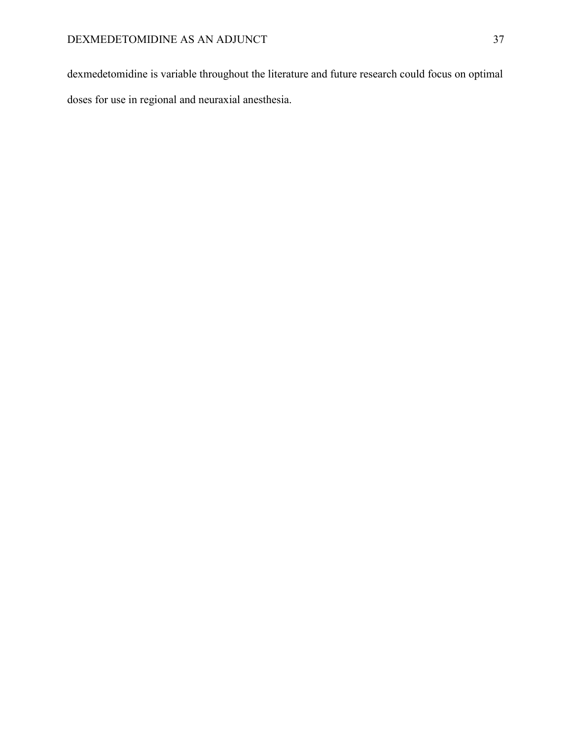dexmedetomidine is variable throughout the literature and future research could focus on optimal doses for use in regional and neuraxial anesthesia.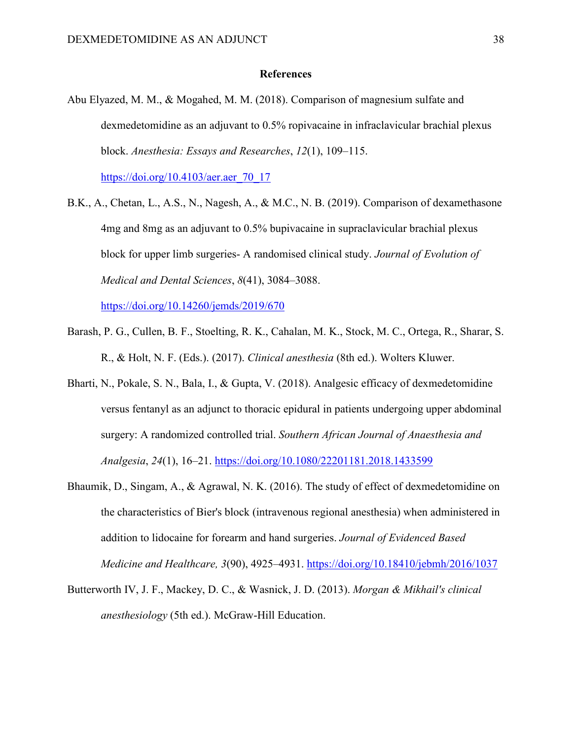# **References**

Abu Elyazed, M. M., & Mogahed, M. M. (2018). Comparison of magnesium sulfate and dexmedetomidine as an adjuvant to 0.5% ropivacaine in infraclavicular brachial plexus block. *Anesthesia: Essays and Researches*, *12*(1), 109–115.

[https://doi.org/10.4103/aer.aer\\_70\\_17](https://doi.org/10.4103/aer.aer_70_17)

B.K., A., Chetan, L., A.S., N., Nagesh, A., & M.C., N. B. (2019). Comparison of dexamethasone 4mg and 8mg as an adjuvant to 0.5% bupivacaine in supraclavicular brachial plexus block for upper limb surgeries- A randomised clinical study. *Journal of Evolution of Medical and Dental Sciences*, *8*(41), 3084–3088.

<https://doi.org/10.14260/jemds/2019/670>

- Barash, P. G., Cullen, B. F., Stoelting, R. K., Cahalan, M. K., Stock, M. C., Ortega, R., Sharar, S. R., & Holt, N. F. (Eds.). (2017). *Clinical anesthesia* (8th ed.). Wolters Kluwer.
- Bharti, N., Pokale, S. N., Bala, I., & Gupta, V. (2018). Analgesic efficacy of dexmedetomidine versus fentanyl as an adjunct to thoracic epidural in patients undergoing upper abdominal surgery: A randomized controlled trial. *Southern African Journal of Anaesthesia and Analgesia*, *24*(1), 16–21.<https://doi.org/10.1080/22201181.2018.1433599>
- Bhaumik, D., Singam, A., & Agrawal, N. K. (2016). The study of effect of dexmedetomidine on the characteristics of Bier's block (intravenous regional anesthesia) when administered in addition to lidocaine for forearm and hand surgeries. *Journal of Evidenced Based Medicine and Healthcare, 3*(90), 4925–4931.<https://doi.org/10.18410/jebmh/2016/1037>
- Butterworth IV, J. F., Mackey, D. C., & Wasnick, J. D. (2013). *Morgan & Mikhail's clinical anesthesiology* (5th ed.). McGraw-Hill Education.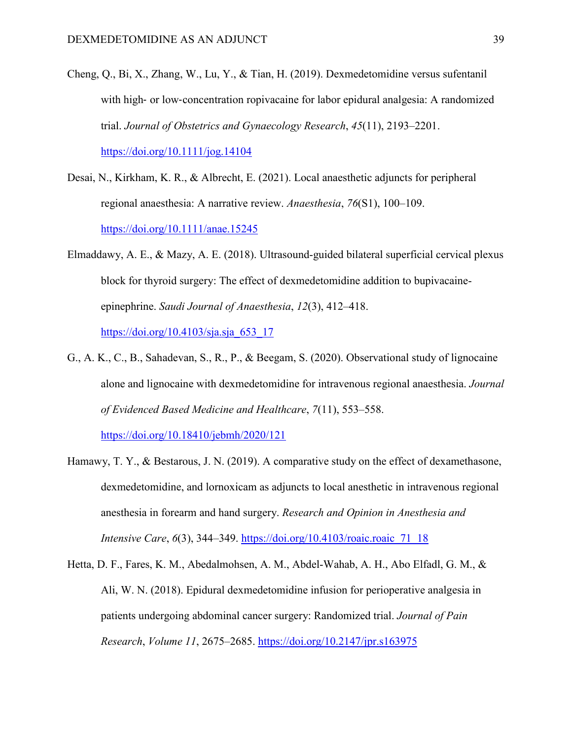Cheng, Q., Bi, X., Zhang, W., Lu, Y., & Tian, H. (2019). Dexmedetomidine versus sufentanil with high- or low-concentration ropivacaine for labor epidural analgesia: A randomized trial. *Journal of Obstetrics and Gynaecology Research*, *45*(11), 2193–2201.

<https://doi.org/10.1111/jog.14104>

- Desai, N., Kirkham, K. R., & Albrecht, E. (2021). Local anaesthetic adjuncts for peripheral regional anaesthesia: A narrative review. *Anaesthesia*, *76*(S1), 100–109. <https://doi.org/10.1111/anae.15245>
- Elmaddawy, A. E., & Mazy, A. E. (2018). Ultrasound-guided bilateral superficial cervical plexus block for thyroid surgery: The effect of dexmedetomidine addition to bupivacaineepinephrine. *Saudi Journal of Anaesthesia*, *12*(3), 412–418. [https://doi.org/10.4103/sja.sja\\_653\\_17](https://doi.org/10.4103/sja.sja_653_17)
- G., A. K., C., B., Sahadevan, S., R., P., & Beegam, S. (2020). Observational study of lignocaine alone and lignocaine with dexmedetomidine for intravenous regional anaesthesia. *Journal of Evidenced Based Medicine and Healthcare*, *7*(11), 553–558. <https://doi.org/10.18410/jebmh/2020/121>
- Hamawy, T. Y., & Bestarous, J. N. (2019). A comparative study on the effect of dexamethasone, dexmedetomidine, and lornoxicam as adjuncts to local anesthetic in intravenous regional anesthesia in forearm and hand surgery. *Research and Opinion in Anesthesia and Intensive Care*, *6*(3), 344–349. [https://doi.org/10.4103/roaic.roaic\\_71\\_18](https://doi.org/10.4103/roaic.roaic_71_18)
- Hetta, D. F., Fares, K. M., Abedalmohsen, A. M., Abdel-Wahab, A. H., Abo Elfadl, G. M., & Ali, W. N. (2018). Epidural dexmedetomidine infusion for perioperative analgesia in patients undergoing abdominal cancer surgery: Randomized trial. *Journal of Pain Research*, *Volume 11*, 2675–2685.<https://doi.org/10.2147/jpr.s163975>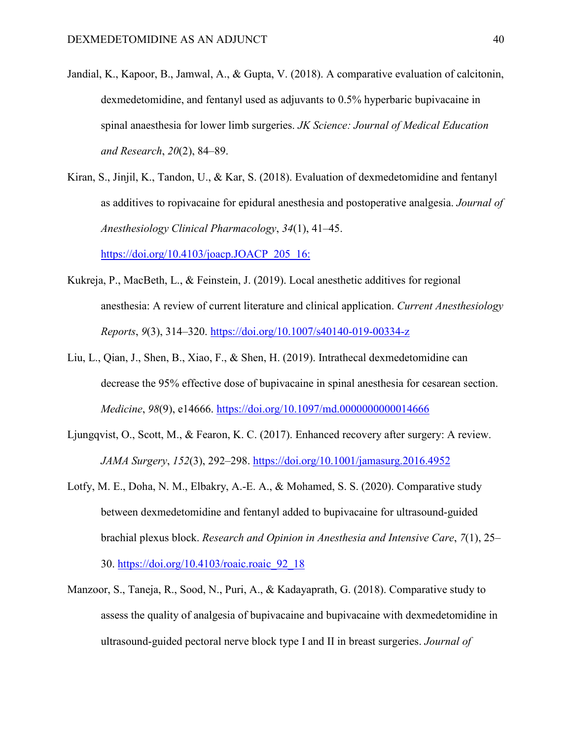- Jandial, K., Kapoor, B., Jamwal, A., & Gupta, V. (2018). A comparative evaluation of calcitonin, dexmedetomidine, and fentanyl used as adjuvants to 0.5% hyperbaric bupivacaine in spinal anaesthesia for lower limb surgeries. *JK Science: Journal of Medical Education and Research*, *20*(2), 84–89.
- Kiran, S., Jinjil, K., Tandon, U., & Kar, S. (2018). Evaluation of dexmedetomidine and fentanyl as additives to ropivacaine for epidural anesthesia and postoperative analgesia. *Journal of Anesthesiology Clinical Pharmacology*, *34*(1), 41–45.

[https://doi.org/10.4103/joacp.JOACP\\_205\\_16:](https://doi.org/10.4103/joacp.JOACP_205_16:)

- Kukreja, P., MacBeth, L., & Feinstein, J. (2019). Local anesthetic additives for regional anesthesia: A review of current literature and clinical application. *Current Anesthesiology Reports*, *9*(3), 314–320.<https://doi.org/10.1007/s40140-019-00334-z>
- Liu, L., Qian, J., Shen, B., Xiao, F., & Shen, H. (2019). Intrathecal dexmedetomidine can decrease the 95% effective dose of bupivacaine in spinal anesthesia for cesarean section. *Medicine*, *98*(9), e14666.<https://doi.org/10.1097/md.0000000000014666>
- Ljungqvist, O., Scott, M., & Fearon, K. C. (2017). Enhanced recovery after surgery: A review. *JAMA Surgery*, *152*(3), 292–298.<https://doi.org/10.1001/jamasurg.2016.4952>
- Lotfy, M. E., Doha, N. M., Elbakry, A.-E. A., & Mohamed, S. S. (2020). Comparative study between dexmedetomidine and fentanyl added to bupivacaine for ultrasound-guided brachial plexus block. *Research and Opinion in Anesthesia and Intensive Care*, *7*(1), 25– 30. [https://doi.org/10.4103/roaic.roaic\\_92\\_18](https://doi.org/10.4103/roaic.roaic_92_18)
- Manzoor, S., Taneja, R., Sood, N., Puri, A., & Kadayaprath, G. (2018). Comparative study to assess the quality of analgesia of bupivacaine and bupivacaine with dexmedetomidine in ultrasound-guided pectoral nerve block type I and II in breast surgeries. *Journal of*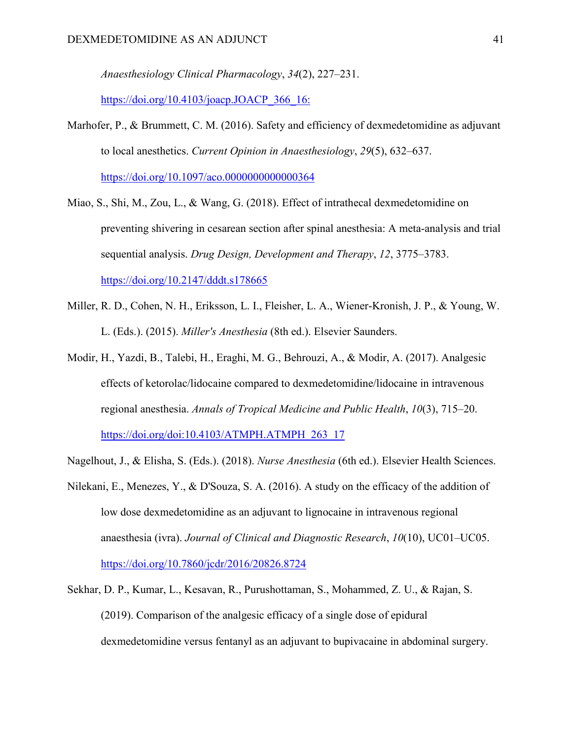*Anaesthesiology Clinical Pharmacology*, *34*(2), 227–231.

[https://doi.org/10.4103/joacp.JOACP\\_366\\_16:](https://doi.org/10.4103/joacp.JOACP_366_16:)

Marhofer, P., & Brummett, C. M. (2016). Safety and efficiency of dexmedetomidine as adjuvant to local anesthetics. *Current Opinion in Anaesthesiology*, *29*(5), 632–637. <https://doi.org/10.1097/aco.0000000000000364>

Miao, S., Shi, M., Zou, L., & Wang, G. (2018). Effect of intrathecal dexmedetomidine on preventing shivering in cesarean section after spinal anesthesia: A meta-analysis and trial sequential analysis. *Drug Design, Development and Therapy*, *12*, 3775–3783.

<https://doi.org/10.2147/dddt.s178665>

- Miller, R. D., Cohen, N. H., Eriksson, L. I., Fleisher, L. A., Wiener-Kronish, J. P., & Young, W. L. (Eds.). (2015). *Miller's Anesthesia* (8th ed.). Elsevier Saunders.
- Modir, H., Yazdi, B., Talebi, H., Eraghi, M. G., Behrouzi, A., & Modir, A. (2017). Analgesic effects of ketorolac/lidocaine compared to dexmedetomidine/lidocaine in intravenous regional anesthesia. *Annals of Tropical Medicine and Public Health*, *10*(3), 715–20. [https://doi.org/doi:10.4103/ATMPH.ATMPH\\_263\\_17](https://doi.org/doi:10.4103/ATMPH.ATMPH_263_17)

Nagelhout, J., & Elisha, S. (Eds.). (2018). *Nurse Anesthesia* (6th ed.). Elsevier Health Sciences.

- Nilekani, E., Menezes, Y., & D'Souza, S. A. (2016). A study on the efficacy of the addition of low dose dexmedetomidine as an adjuvant to lignocaine in intravenous regional anaesthesia (ivra). *Journal of Clinical and Diagnostic Research*, *10*(10), UC01–UC05. <https://doi.org/10.7860/jcdr/2016/20826.8724>
- Sekhar, D. P., Kumar, L., Kesavan, R., Purushottaman, S., Mohammed, Z. U., & Rajan, S. (2019). Comparison of the analgesic efficacy of a single dose of epidural dexmedetomidine versus fentanyl as an adjuvant to bupivacaine in abdominal surgery.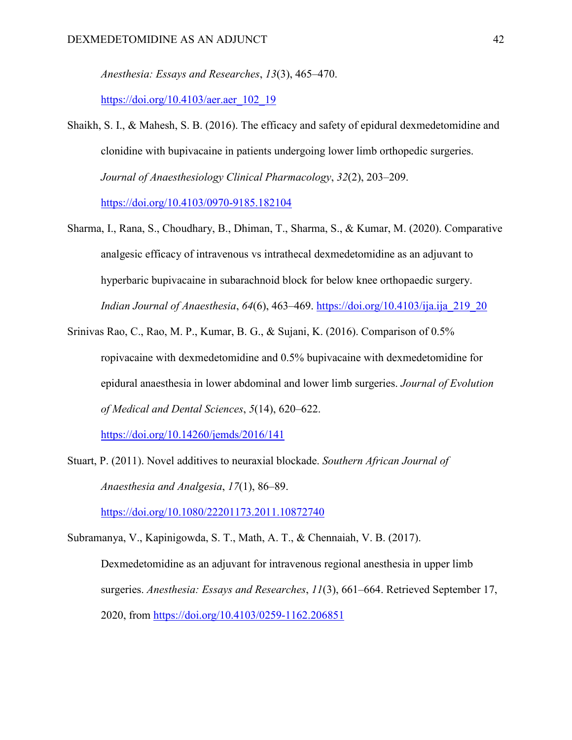*Anesthesia: Essays and Researches*, *13*(3), 465–470.

[https://doi.org/10.4103/aer.aer\\_102\\_19](https://doi.org/10.4103/aer.aer_102_19)

- Shaikh, S. I., & Mahesh, S. B. (2016). The efficacy and safety of epidural dexmedetomidine and clonidine with bupivacaine in patients undergoing lower limb orthopedic surgeries. *Journal of Anaesthesiology Clinical Pharmacology*, *32*(2), 203–209. <https://doi.org/10.4103/0970-9185.182104>
- Sharma, I., Rana, S., Choudhary, B., Dhiman, T., Sharma, S., & Kumar, M. (2020). Comparative analgesic efficacy of intravenous vs intrathecal dexmedetomidine as an adjuvant to hyperbaric bupivacaine in subarachnoid block for below knee orthopaedic surgery. *Indian Journal of Anaesthesia*, *64*(6), 463–469. [https://doi.org/10.4103/ija.ija\\_219\\_20](https://doi.org/10.4103/ija.ija_219_20)
- Srinivas Rao, C., Rao, M. P., Kumar, B. G., & Sujani, K. (2016). Comparison of 0.5% ropivacaine with dexmedetomidine and 0.5% bupivacaine with dexmedetomidine for epidural anaesthesia in lower abdominal and lower limb surgeries. *Journal of Evolution of Medical and Dental Sciences*, *5*(14), 620–622.

<https://doi.org/10.14260/jemds/2016/141>

Stuart, P. (2011). Novel additives to neuraxial blockade. *Southern African Journal of Anaesthesia and Analgesia*, *17*(1), 86–89.

<https://doi.org/10.1080/22201173.2011.10872740>

Subramanya, V., Kapinigowda, S. T., Math, A. T., & Chennaiah, V. B. (2017). Dexmedetomidine as an adjuvant for intravenous regional anesthesia in upper limb surgeries. *Anesthesia: Essays and Researches*, *11*(3), 661–664. Retrieved September 17, 2020, from<https://doi.org/10.4103/0259-1162.206851>